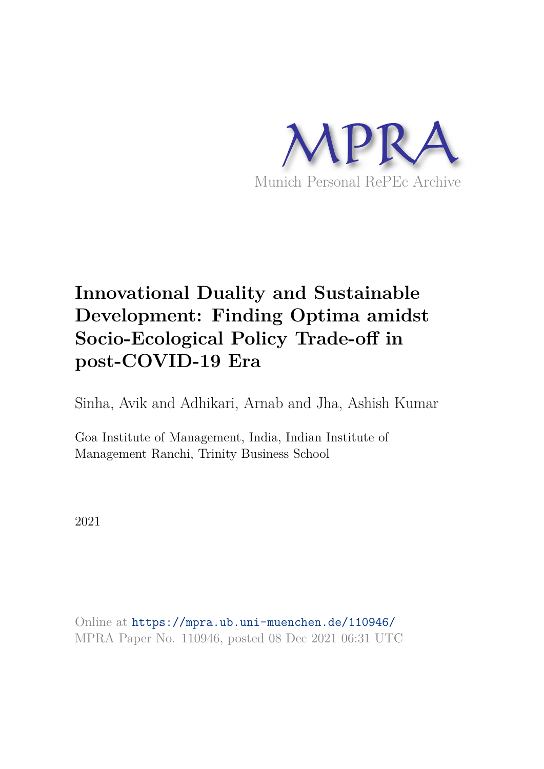

# **Innovational Duality and Sustainable Development: Finding Optima amidst Socio-Ecological Policy Trade-off in post-COVID-19 Era**

Sinha, Avik and Adhikari, Arnab and Jha, Ashish Kumar

Goa Institute of Management, India, Indian Institute of Management Ranchi, Trinity Business School

2021

Online at https://mpra.ub.uni-muenchen.de/110946/ MPRA Paper No. 110946, posted 08 Dec 2021 06:31 UTC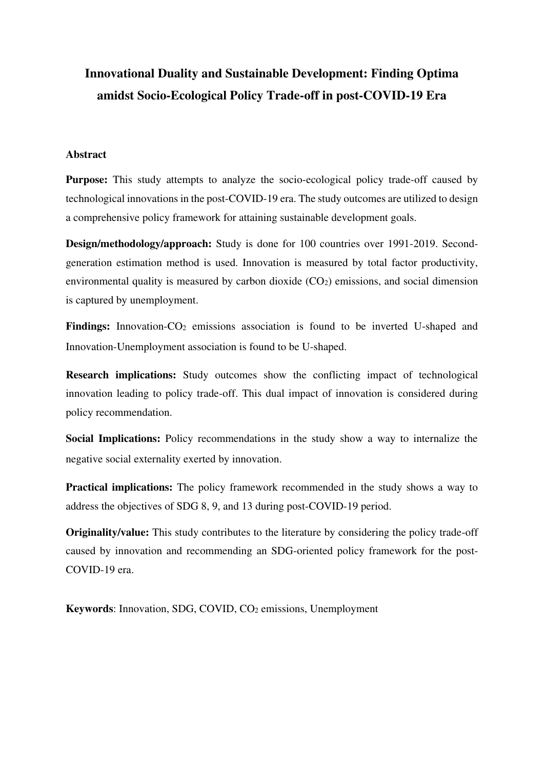## **Innovational Duality and Sustainable Development: Finding Optima amidst Socio-Ecological Policy Trade-off in post-COVID-19 Era**

#### **Abstract**

**Purpose:** This study attempts to analyze the socio-ecological policy trade-off caused by technological innovations in the post-COVID-19 era. The study outcomes are utilized to design a comprehensive policy framework for attaining sustainable development goals.

**Design/methodology/approach:** Study is done for 100 countries over 1991-2019. Secondgeneration estimation method is used. Innovation is measured by total factor productivity, environmental quality is measured by carbon dioxide  $(CO<sub>2</sub>)$  emissions, and social dimension is captured by unemployment.

Findings: Innovation-CO<sub>2</sub> emissions association is found to be inverted U-shaped and Innovation-Unemployment association is found to be U-shaped.

**Research implications:** Study outcomes show the conflicting impact of technological innovation leading to policy trade-off. This dual impact of innovation is considered during policy recommendation.

**Social Implications:** Policy recommendations in the study show a way to internalize the negative social externality exerted by innovation.

**Practical implications:** The policy framework recommended in the study shows a way to address the objectives of SDG 8, 9, and 13 during post-COVID-19 period.

**Originality/value:** This study contributes to the literature by considering the policy trade-off caused by innovation and recommending an SDG-oriented policy framework for the post-COVID-19 era.

**Keywords**: Innovation, SDG, COVID, CO2 emissions, Unemployment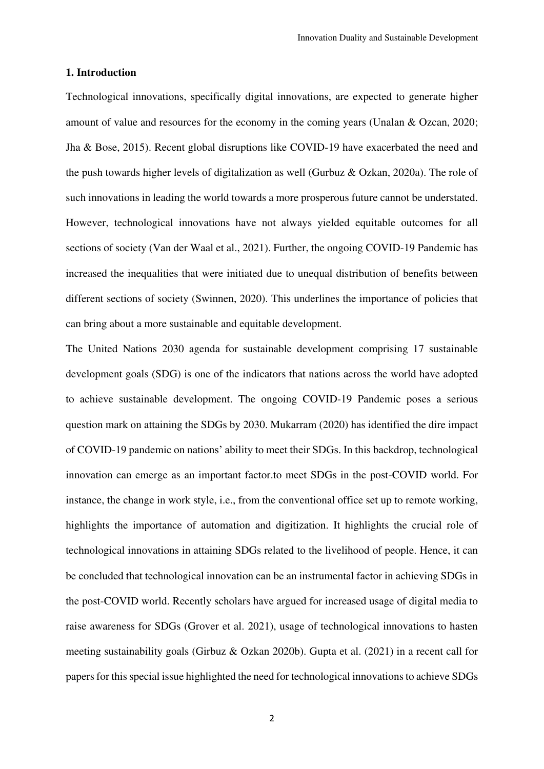#### **1. Introduction**

Technological innovations, specifically digital innovations, are expected to generate higher amount of value and resources for the economy in the coming years (Unalan & Ozcan, 2020; Jha & Bose, 2015). Recent global disruptions like COVID-19 have exacerbated the need and the push towards higher levels of digitalization as well (Gurbuz & Ozkan, 2020a). The role of such innovations in leading the world towards a more prosperous future cannot be understated. However, technological innovations have not always yielded equitable outcomes for all sections of society (Van der Waal et al., 2021). Further, the ongoing COVID-19 Pandemic has increased the inequalities that were initiated due to unequal distribution of benefits between different sections of society (Swinnen, 2020). This underlines the importance of policies that can bring about a more sustainable and equitable development.

The United Nations 2030 agenda for sustainable development comprising 17 sustainable development goals (SDG) is one of the indicators that nations across the world have adopted to achieve sustainable development. The ongoing COVID-19 Pandemic poses a serious question mark on attaining the SDGs by 2030. Mukarram (2020) has identified the dire impact of COVID-19 pandemic on nations' ability to meet their SDGs. In this backdrop, technological innovation can emerge as an important factor.to meet SDGs in the post-COVID world. For instance, the change in work style, i.e., from the conventional office set up to remote working, highlights the importance of automation and digitization. It highlights the crucial role of technological innovations in attaining SDGs related to the livelihood of people. Hence, it can be concluded that technological innovation can be an instrumental factor in achieving SDGs in the post-COVID world. Recently scholars have argued for increased usage of digital media to raise awareness for SDGs (Grover et al. 2021), usage of technological innovations to hasten meeting sustainability goals (Girbuz & Ozkan 2020b). Gupta et al. (2021) in a recent call for papers for this special issue highlighted the need for technological innovations to achieve SDGs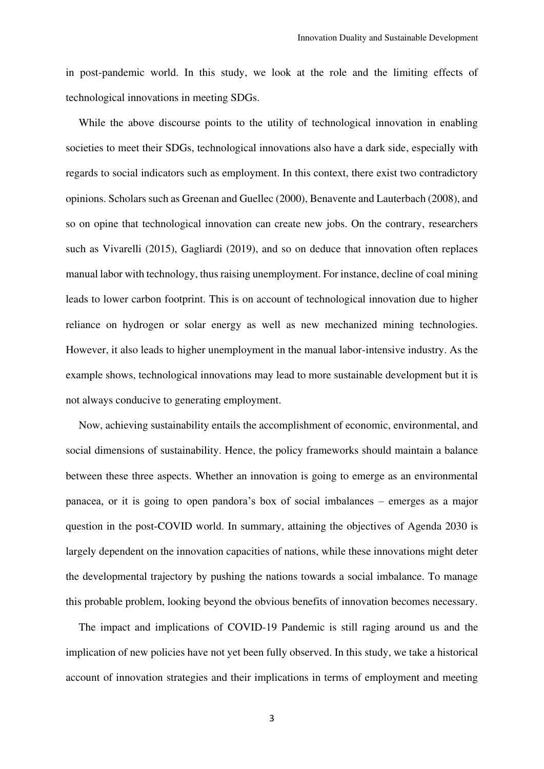in post-pandemic world. In this study, we look at the role and the limiting effects of technological innovations in meeting SDGs.

While the above discourse points to the utility of technological innovation in enabling societies to meet their SDGs, technological innovations also have a dark side, especially with regards to social indicators such as employment. In this context, there exist two contradictory opinions. Scholars such as Greenan and Guellec (2000), Benavente and Lauterbach (2008), and so on opine that technological innovation can create new jobs. On the contrary, researchers such as Vivarelli (2015), Gagliardi (2019), and so on deduce that innovation often replaces manual labor with technology, thus raising unemployment. For instance, decline of coal mining leads to lower carbon footprint. This is on account of technological innovation due to higher reliance on hydrogen or solar energy as well as new mechanized mining technologies. However, it also leads to higher unemployment in the manual labor-intensive industry. As the example shows, technological innovations may lead to more sustainable development but it is not always conducive to generating employment.

Now, achieving sustainability entails the accomplishment of economic, environmental, and social dimensions of sustainability. Hence, the policy frameworks should maintain a balance between these three aspects. Whether an innovation is going to emerge as an environmental panacea, or it is going to open pandora's box of social imbalances – emerges as a major question in the post-COVID world. In summary, attaining the objectives of Agenda 2030 is largely dependent on the innovation capacities of nations, while these innovations might deter the developmental trajectory by pushing the nations towards a social imbalance. To manage this probable problem, looking beyond the obvious benefits of innovation becomes necessary.

The impact and implications of COVID-19 Pandemic is still raging around us and the implication of new policies have not yet been fully observed. In this study, we take a historical account of innovation strategies and their implications in terms of employment and meeting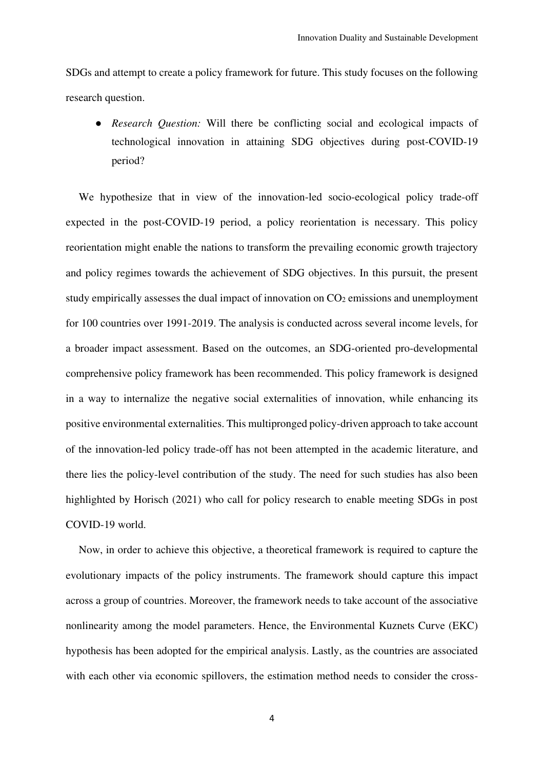SDGs and attempt to create a policy framework for future. This study focuses on the following research question.

● *Research Question:* Will there be conflicting social and ecological impacts of technological innovation in attaining SDG objectives during post-COVID-19 period?

We hypothesize that in view of the innovation-led socio-ecological policy trade-off expected in the post-COVID-19 period, a policy reorientation is necessary. This policy reorientation might enable the nations to transform the prevailing economic growth trajectory and policy regimes towards the achievement of SDG objectives. In this pursuit, the present study empirically assesses the dual impact of innovation on CO<sub>2</sub> emissions and unemployment for 100 countries over 1991-2019. The analysis is conducted across several income levels, for a broader impact assessment. Based on the outcomes, an SDG-oriented pro-developmental comprehensive policy framework has been recommended. This policy framework is designed in a way to internalize the negative social externalities of innovation, while enhancing its positive environmental externalities. This multipronged policy-driven approach to take account of the innovation-led policy trade-off has not been attempted in the academic literature, and there lies the policy-level contribution of the study. The need for such studies has also been highlighted by Horisch (2021) who call for policy research to enable meeting SDGs in post COVID-19 world.

Now, in order to achieve this objective, a theoretical framework is required to capture the evolutionary impacts of the policy instruments. The framework should capture this impact across a group of countries. Moreover, the framework needs to take account of the associative nonlinearity among the model parameters. Hence, the Environmental Kuznets Curve (EKC) hypothesis has been adopted for the empirical analysis. Lastly, as the countries are associated with each other via economic spillovers, the estimation method needs to consider the cross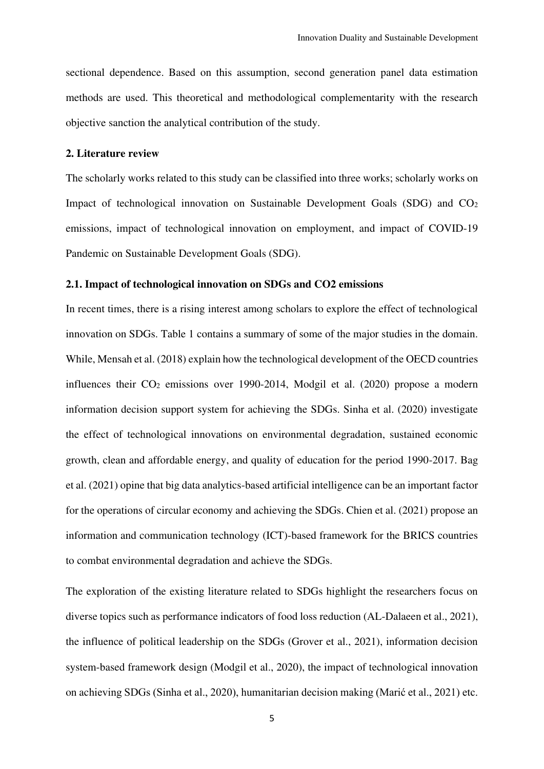sectional dependence. Based on this assumption, second generation panel data estimation methods are used. This theoretical and methodological complementarity with the research objective sanction the analytical contribution of the study.

#### **2. Literature review**

The scholarly works related to this study can be classified into three works; scholarly works on Impact of technological innovation on Sustainable Development Goals (SDG) and CO<sup>2</sup> emissions, impact of technological innovation on employment, and impact of COVID-19 Pandemic on Sustainable Development Goals (SDG).

#### **2.1. Impact of technological innovation on SDGs and CO2 emissions**

In recent times, there is a rising interest among scholars to explore the effect of technological innovation on SDGs. Table 1 contains a summary of some of the major studies in the domain. While, Mensah et al. (2018) explain how the technological development of the OECD countries influences their CO2 emissions over 1990-2014, Modgil et al. (2020) propose a modern information decision support system for achieving the SDGs. Sinha et al. (2020) investigate the effect of technological innovations on environmental degradation, sustained economic growth, clean and affordable energy, and quality of education for the period 1990-2017. Bag et al. (2021) opine that big data analytics-based artificial intelligence can be an important factor for the operations of circular economy and achieving the SDGs. Chien et al. (2021) propose an information and communication technology (ICT)-based framework for the BRICS countries to combat environmental degradation and achieve the SDGs.

The exploration of the existing literature related to SDGs highlight the researchers focus on diverse topics such as performance indicators of food loss reduction (AL-Dalaeen et al., 2021), the influence of political leadership on the SDGs (Grover et al., 2021), information decision system-based framework design (Modgil et al., 2020), the impact of technological innovation on achieving SDGs (Sinha et al., 2020), humanitarian decision making (Marić et al., 2021) etc.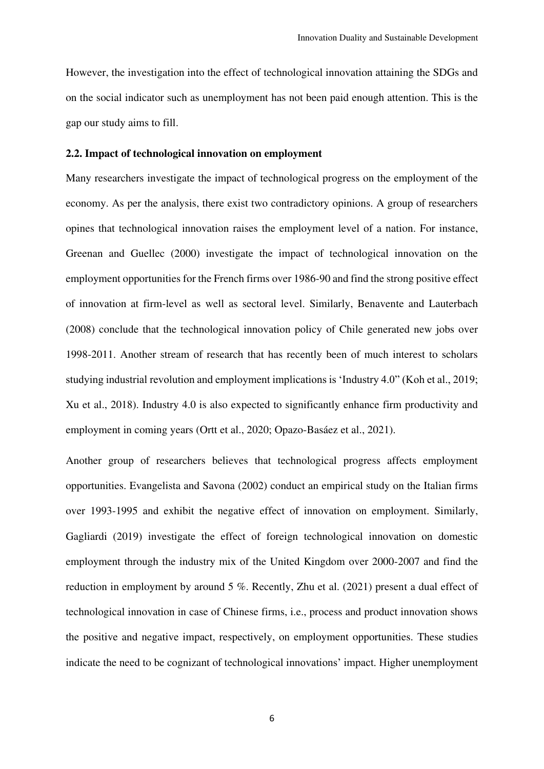However, the investigation into the effect of technological innovation attaining the SDGs and on the social indicator such as unemployment has not been paid enough attention. This is the gap our study aims to fill.

#### **2.2. Impact of technological innovation on employment**

Many researchers investigate the impact of technological progress on the employment of the economy. As per the analysis, there exist two contradictory opinions. A group of researchers opines that technological innovation raises the employment level of a nation. For instance, Greenan and Guellec (2000) investigate the impact of technological innovation on the employment opportunities for the French firms over 1986-90 and find the strong positive effect of innovation at firm-level as well as sectoral level. Similarly, Benavente and Lauterbach (2008) conclude that the technological innovation policy of Chile generated new jobs over 1998-2011. Another stream of research that has recently been of much interest to scholars studying industrial revolution and employment implications is 'Industry 4.0" (Koh et al., 2019; Xu et al., 2018). Industry 4.0 is also expected to significantly enhance firm productivity and employment in coming years (Ortt et al., 2020; Opazo-Basáez et al., 2021).

Another group of researchers believes that technological progress affects employment opportunities. Evangelista and Savona (2002) conduct an empirical study on the Italian firms over 1993-1995 and exhibit the negative effect of innovation on employment. Similarly, Gagliardi (2019) investigate the effect of foreign technological innovation on domestic employment through the industry mix of the United Kingdom over 2000-2007 and find the reduction in employment by around 5 %. Recently, Zhu et al. (2021) present a dual effect of technological innovation in case of Chinese firms, i.e., process and product innovation shows the positive and negative impact, respectively, on employment opportunities. These studies indicate the need to be cognizant of technological innovations' impact. Higher unemployment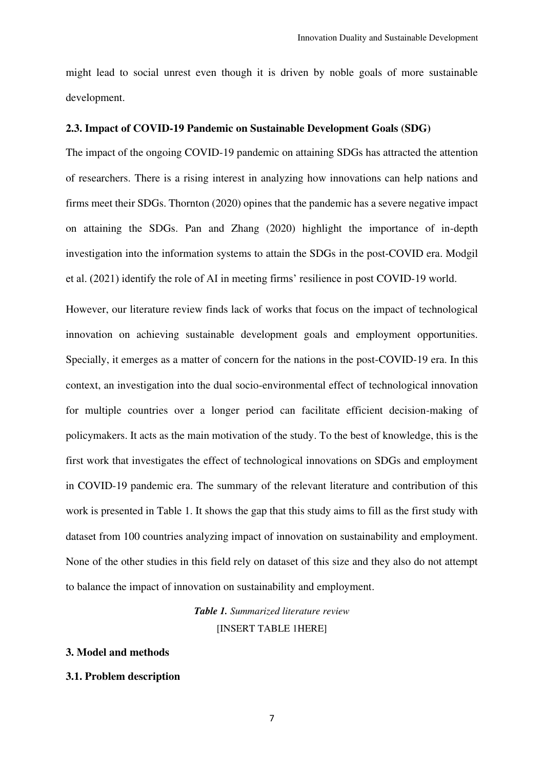might lead to social unrest even though it is driven by noble goals of more sustainable development.

#### **2.3. Impact of COVID-19 Pandemic on Sustainable Development Goals (SDG)**

The impact of the ongoing COVID-19 pandemic on attaining SDGs has attracted the attention of researchers. There is a rising interest in analyzing how innovations can help nations and firms meet their SDGs. Thornton (2020) opines that the pandemic has a severe negative impact on attaining the SDGs. Pan and Zhang (2020) highlight the importance of in-depth investigation into the information systems to attain the SDGs in the post-COVID era. Modgil et al. (2021) identify the role of AI in meeting firms' resilience in post COVID-19 world.

However, our literature review finds lack of works that focus on the impact of technological innovation on achieving sustainable development goals and employment opportunities. Specially, it emerges as a matter of concern for the nations in the post-COVID-19 era. In this context, an investigation into the dual socio-environmental effect of technological innovation for multiple countries over a longer period can facilitate efficient decision-making of policymakers. It acts as the main motivation of the study. To the best of knowledge, this is the first work that investigates the effect of technological innovations on SDGs and employment in COVID-19 pandemic era. The summary of the relevant literature and contribution of this work is presented in Table 1. It shows the gap that this study aims to fill as the first study with dataset from 100 countries analyzing impact of innovation on sustainability and employment. None of the other studies in this field rely on dataset of this size and they also do not attempt to balance the impact of innovation on sustainability and employment.

## *Table 1. Summarized literature review*  [INSERT TABLE 1HERE]

#### **3. Model and methods**

#### **3.1. Problem description**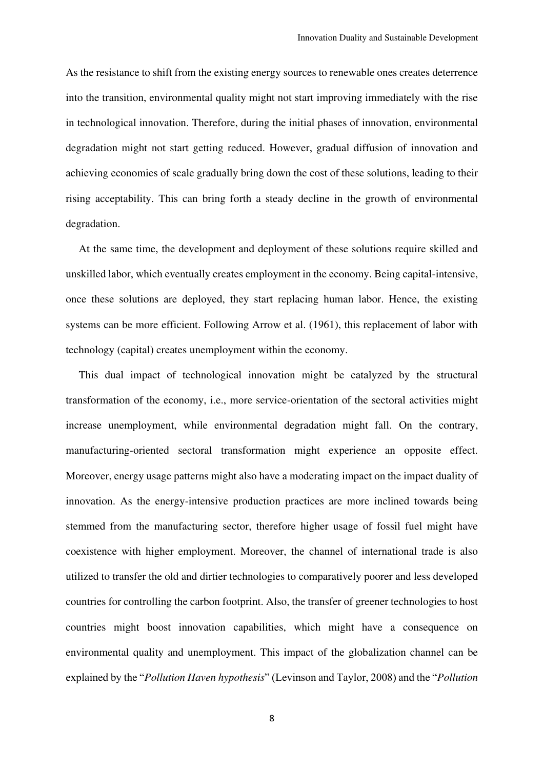As the resistance to shift from the existing energy sources to renewable ones creates deterrence into the transition, environmental quality might not start improving immediately with the rise in technological innovation. Therefore, during the initial phases of innovation, environmental degradation might not start getting reduced. However, gradual diffusion of innovation and achieving economies of scale gradually bring down the cost of these solutions, leading to their rising acceptability. This can bring forth a steady decline in the growth of environmental degradation.

At the same time, the development and deployment of these solutions require skilled and unskilled labor, which eventually creates employment in the economy. Being capital-intensive, once these solutions are deployed, they start replacing human labor. Hence, the existing systems can be more efficient. Following Arrow et al. (1961), this replacement of labor with technology (capital) creates unemployment within the economy.

This dual impact of technological innovation might be catalyzed by the structural transformation of the economy, i.e., more service-orientation of the sectoral activities might increase unemployment, while environmental degradation might fall. On the contrary, manufacturing-oriented sectoral transformation might experience an opposite effect. Moreover, energy usage patterns might also have a moderating impact on the impact duality of innovation. As the energy-intensive production practices are more inclined towards being stemmed from the manufacturing sector, therefore higher usage of fossil fuel might have coexistence with higher employment. Moreover, the channel of international trade is also utilized to transfer the old and dirtier technologies to comparatively poorer and less developed countries for controlling the carbon footprint. Also, the transfer of greener technologies to host countries might boost innovation capabilities, which might have a consequence on environmental quality and unemployment. This impact of the globalization channel can be explained by the "*Pollution Haven hypothesis*" (Levinson and Taylor, 2008) and the "*Pollution*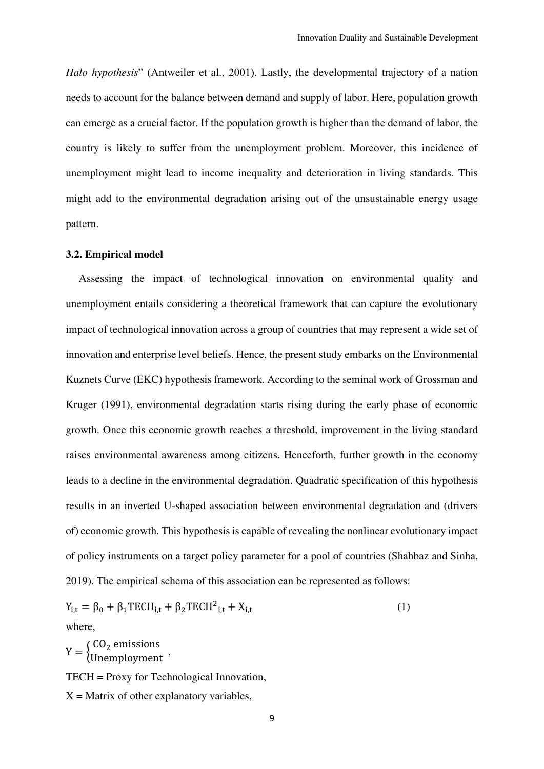*Halo hypothesis*" (Antweiler et al., 2001). Lastly, the developmental trajectory of a nation needs to account for the balance between demand and supply of labor. Here, population growth can emerge as a crucial factor. If the population growth is higher than the demand of labor, the country is likely to suffer from the unemployment problem. Moreover, this incidence of unemployment might lead to income inequality and deterioration in living standards. This might add to the environmental degradation arising out of the unsustainable energy usage pattern.

#### **3.2. Empirical model**

Assessing the impact of technological innovation on environmental quality and unemployment entails considering a theoretical framework that can capture the evolutionary impact of technological innovation across a group of countries that may represent a wide set of innovation and enterprise level beliefs. Hence, the present study embarks on the Environmental Kuznets Curve (EKC) hypothesis framework. According to the seminal work of Grossman and Kruger (1991), environmental degradation starts rising during the early phase of economic growth. Once this economic growth reaches a threshold, improvement in the living standard raises environmental awareness among citizens. Henceforth, further growth in the economy leads to a decline in the environmental degradation. Quadratic specification of this hypothesis results in an inverted U-shaped association between environmental degradation and (drivers of) economic growth. This hypothesis is capable of revealing the nonlinear evolutionary impact of policy instruments on a target policy parameter for a pool of countries (Shahbaz and Sinha, 2019). The empirical schema of this association can be represented as follows:

 $Y_{i,t} = \beta_0 + \beta_1 \text{TECH}_{i,t} + \beta_2 \text{TECH}_{i,t}^2 + X_{i,t}$  (1) where,

 $Y = \begin{cases} CO_2 \text{ emissions} \\ Unemployed \end{cases}$ , TECH = Proxy for Technological Innovation,  $X =$ Matrix of other explanatory variables,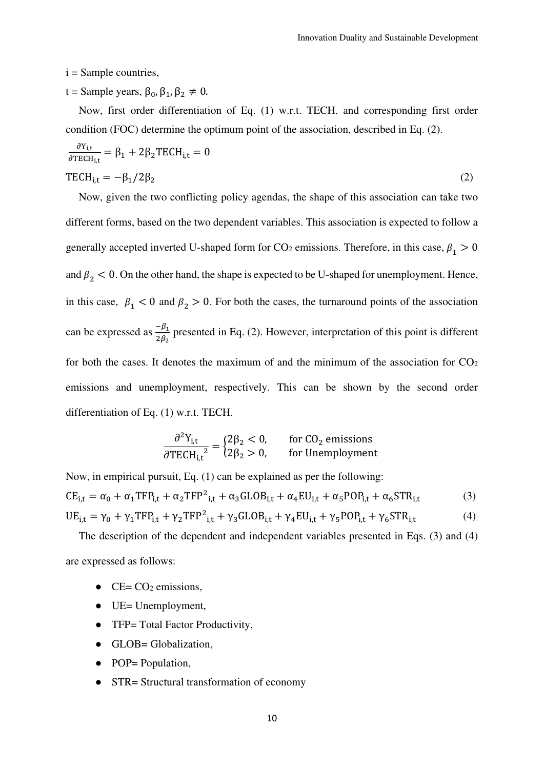i = Sample countries,

t = Sample years,  $\beta_0$ ,  $\beta_1$ ,  $\beta_2 \neq 0$ .

Now, first order differentiation of Eq. (1) w.r.t. TECH. and corresponding first order condition (FOC) determine the optimum point of the association, described in Eq. (2).

$$
\frac{\partial Y_{i,t}}{\partial TECH_{i,t}} = \beta_1 + 2\beta_2 TECH_{i,t} = 0
$$
  
TECH<sub>i,t</sub> =  $-\beta_1/2\beta_2$  (2)

Now, given the two conflicting policy agendas, the shape of this association can take two different forms, based on the two dependent variables. This association is expected to follow a generally accepted inverted U-shaped form for CO<sub>2</sub> emissions. Therefore, in this case,  $\beta_1 > 0$ and  $\beta_2$  < 0. On the other hand, the shape is expected to be U-shaped for unemployment. Hence, in this case,  $\beta_1 < 0$  and  $\beta_2 > 0$ . For both the cases, the turnaround points of the association can be expressed as  $\frac{-\beta_1}{2\rho}$  $2\beta_2$  presented in Eq. (2). However, interpretation of this point is different for both the cases. It denotes the maximum of and the minimum of the association for  $CO<sub>2</sub>$ emissions and unemployment, respectively. This can be shown by the second order differentiation of Eq. (1) w.r.t. TECH.

$$
\frac{\partial^2 Y_{i,t}}{\partial TECH_{i,t}^2} = \begin{cases} 2\beta_2 < 0, \\ 2\beta_2 > 0, \end{cases}
$$
 for CO<sub>2</sub> emissions  
for Un employment

Now, in empirical pursuit, Eq. (1) can be explained as per the following:  $CE_{i,t} = \alpha_0 + \alpha_1 TFP_{i,t} + \alpha_2 TFP_{i,t} + \alpha_3 GLOB_{i,t} + \alpha_4 EU_{i,t} + \alpha_5 POP_{i,t} + \alpha_6 STR_{i,t}$  (3)  $UE_{i,t} = \gamma_0 + \gamma_1 TFP_{i,t} + \gamma_2 TFP^2_{i,t} + \gamma_3 GLOB_{i,t} + \gamma_4 EU_{i,t} + \gamma_5 POP_{i,t} + \gamma_6 STR_{i,t}$  (4)

The description of the dependent and independent variables presented in Eqs. (3) and (4) are expressed as follows:

- $\bullet$  CE= CO<sub>2</sub> emissions,
- UE= Unemployment,
- TFP= Total Factor Productivity,
- GLOB= Globalization,
- POP= Population,
- STR= Structural transformation of economy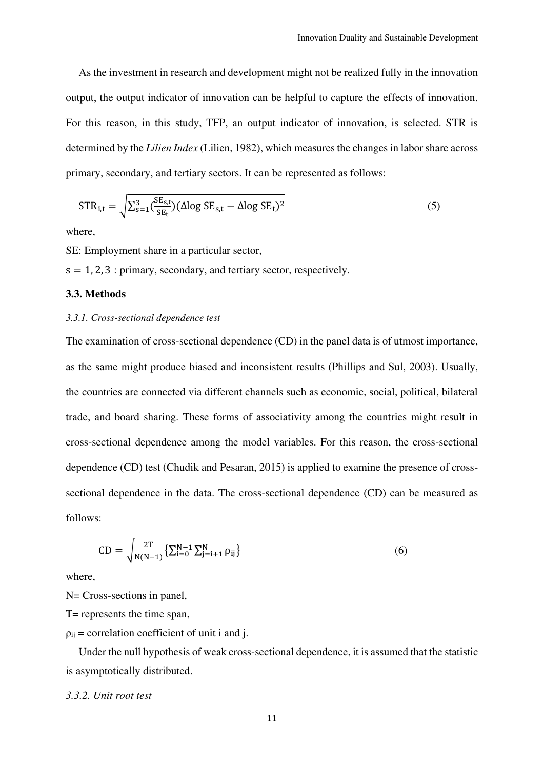As the investment in research and development might not be realized fully in the innovation output, the output indicator of innovation can be helpful to capture the effects of innovation. For this reason, in this study, TFP, an output indicator of innovation, is selected. STR is determined by the *Lilien Index* (Lilien, 1982), which measures the changes in labor share across primary, secondary, and tertiary sectors. It can be represented as follows:

$$
STR_{i,t} = \sqrt{\sum_{s=1}^{3} \left(\frac{SE_{s,t}}{SE_t}\right) (\Delta \log SE_{s,t} - \Delta \log SE_t)^2}
$$
(5)

where,

SE: Employment share in a particular sector,

 $s = 1, 2, 3$ : primary, secondary, and tertiary sector, respectively.

#### **3.3. Methods**

#### *3.3.1. Cross-sectional dependence test*

The examination of cross-sectional dependence (CD) in the panel data is of utmost importance, as the same might produce biased and inconsistent results (Phillips and Sul, 2003). Usually, the countries are connected via different channels such as economic, social, political, bilateral trade, and board sharing. These forms of associativity among the countries might result in cross-sectional dependence among the model variables. For this reason, the cross-sectional dependence (CD) test (Chudik and Pesaran, 2015) is applied to examine the presence of crosssectional dependence in the data. The cross-sectional dependence (CD) can be measured as follows:

$$
CD = \sqrt{\frac{2T}{N(N-1)}} \{ \sum_{i=0}^{N-1} \sum_{j=i+1}^{N} \rho_{ij} \}
$$
 (6)

where,

N= Cross-sections in panel.

T= represents the time span,

 $p_{ij}$  = correlation coefficient of unit i and j.

Under the null hypothesis of weak cross-sectional dependence, it is assumed that the statistic is asymptotically distributed.

#### *3.3.2. Unit root test*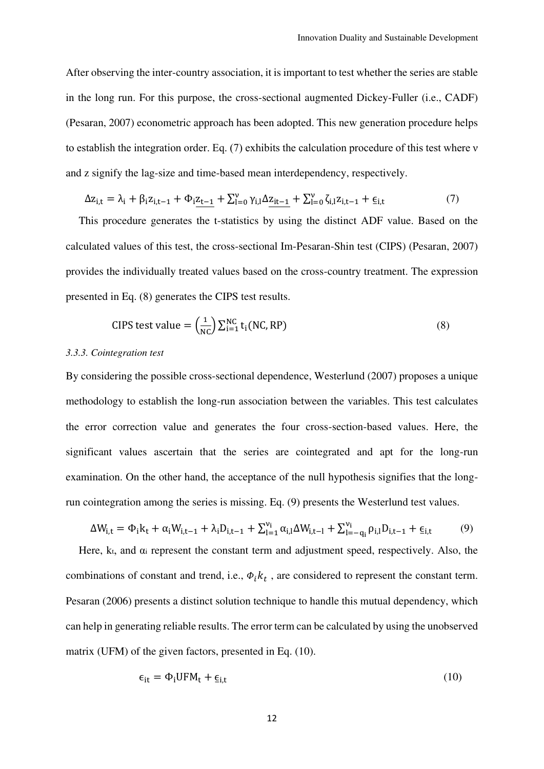After observing the inter-country association, it is important to test whether the series are stable in the long run. For this purpose, the cross-sectional augmented Dickey-Fuller (i.e., CADF) (Pesaran, 2007) econometric approach has been adopted. This new generation procedure helps to establish the integration order. Eq. (7) exhibits the calculation procedure of this test where ν and z signify the lag-size and time-based mean interdependency, respectively.

$$
\Delta z_{i,t} = \lambda_i + \beta_i z_{i,t-1} + \Phi_i \underline{z_{t-1}} + \sum_{l=0}^{\nu} \gamma_{i,l} \Delta \underline{z_{it-1}} + \sum_{l=0}^{\nu} \zeta_{i,l} z_{i,t-1} + \underline{\epsilon}_{i,t}
$$
(7)

This procedure generates the t-statistics by using the distinct ADF value. Based on the calculated values of this test, the cross-sectional Im-Pesaran-Shin test (CIPS) (Pesaran, 2007) provides the individually treated values based on the cross-country treatment. The expression presented in Eq. (8) generates the CIPS test results.

CIPS test value = 
$$
\left(\frac{1}{NC}\right) \sum_{i=1}^{NC} t_i (NC, RP)
$$
 (8)

#### *3.3.3. Cointegration test*

By considering the possible cross-sectional dependence, Westerlund (2007) proposes a unique methodology to establish the long-run association between the variables. This test calculates the error correction value and generates the four cross-section-based values. Here, the significant values ascertain that the series are cointegrated and apt for the long-run examination. On the other hand, the acceptance of the null hypothesis signifies that the longrun cointegration among the series is missing. Eq. (9) presents the Westerlund test values.

$$
\Delta W_{i,t} = \Phi_i k_t + \alpha_i W_{i,t-1} + \lambda_i D_{i,t-1} + \sum_{l=1}^{\nu_i} \alpha_{i,l} \Delta W_{i,t-l} + \sum_{l=-q_i}^{\nu_i} \rho_{i,l} D_{i,t-1} + \underline{\epsilon}_{i,t} \tag{9}
$$

Here,  $k_t$ , and  $\alpha_i$  represent the constant term and adjustment speed, respectively. Also, the combinations of constant and trend, i.e.,  $\Phi_i k_t$ , are considered to represent the constant term. Pesaran (2006) presents a distinct solution technique to handle this mutual dependency, which can help in generating reliable results. The error term can be calculated by using the unobserved matrix (UFM) of the given factors, presented in Eq. (10).

$$
\epsilon_{it} = \Phi_i UFM_t + \epsilon_{i,t} \tag{10}
$$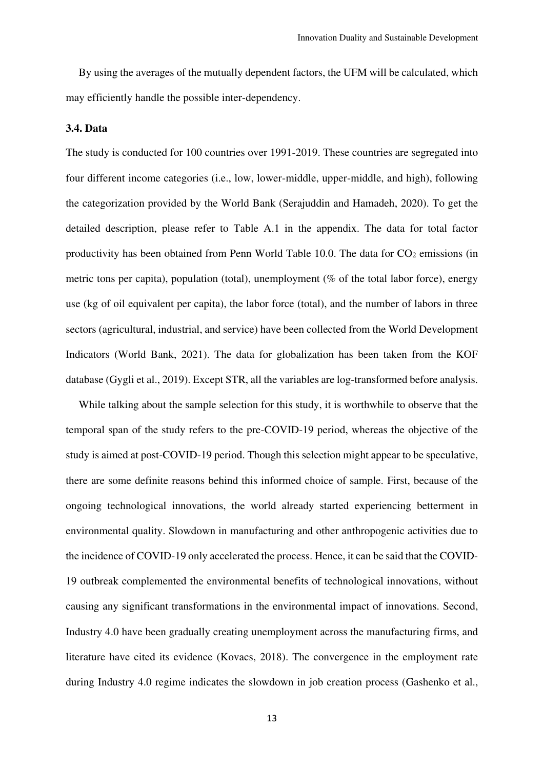By using the averages of the mutually dependent factors, the UFM will be calculated, which may efficiently handle the possible inter-dependency.

#### **3.4. Data**

The study is conducted for 100 countries over 1991-2019. These countries are segregated into four different income categories (i.e., low, lower-middle, upper-middle, and high), following the categorization provided by the World Bank (Serajuddin and Hamadeh, 2020). To get the detailed description, please refer to Table A.1 in the appendix. The data for total factor productivity has been obtained from Penn World Table 10.0. The data for  $CO<sub>2</sub>$  emissions (in metric tons per capita), population (total), unemployment (% of the total labor force), energy use (kg of oil equivalent per capita), the labor force (total), and the number of labors in three sectors (agricultural, industrial, and service) have been collected from the World Development Indicators (World Bank, 2021). The data for globalization has been taken from the KOF database (Gygli et al., 2019). Except STR, all the variables are log-transformed before analysis.

While talking about the sample selection for this study, it is worthwhile to observe that the temporal span of the study refers to the pre-COVID-19 period, whereas the objective of the study is aimed at post-COVID-19 period. Though this selection might appear to be speculative, there are some definite reasons behind this informed choice of sample. First, because of the ongoing technological innovations, the world already started experiencing betterment in environmental quality. Slowdown in manufacturing and other anthropogenic activities due to the incidence of COVID-19 only accelerated the process. Hence, it can be said that the COVID-19 outbreak complemented the environmental benefits of technological innovations, without causing any significant transformations in the environmental impact of innovations. Second, Industry 4.0 have been gradually creating unemployment across the manufacturing firms, and literature have cited its evidence (Kovacs, 2018). The convergence in the employment rate during Industry 4.0 regime indicates the slowdown in job creation process (Gashenko et al.,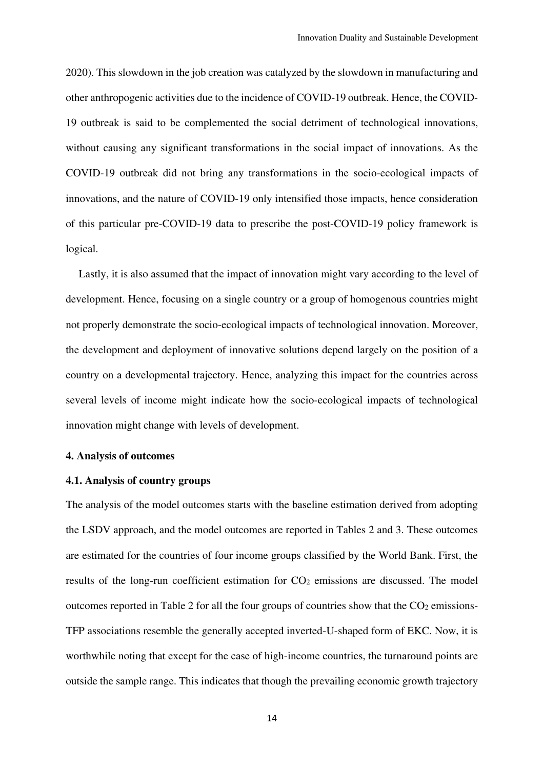2020). This slowdown in the job creation was catalyzed by the slowdown in manufacturing and other anthropogenic activities due to the incidence of COVID-19 outbreak. Hence, the COVID-19 outbreak is said to be complemented the social detriment of technological innovations, without causing any significant transformations in the social impact of innovations. As the COVID-19 outbreak did not bring any transformations in the socio-ecological impacts of innovations, and the nature of COVID-19 only intensified those impacts, hence consideration of this particular pre-COVID-19 data to prescribe the post-COVID-19 policy framework is logical.

Lastly, it is also assumed that the impact of innovation might vary according to the level of development. Hence, focusing on a single country or a group of homogenous countries might not properly demonstrate the socio-ecological impacts of technological innovation. Moreover, the development and deployment of innovative solutions depend largely on the position of a country on a developmental trajectory. Hence, analyzing this impact for the countries across several levels of income might indicate how the socio-ecological impacts of technological innovation might change with levels of development.

#### **4. Analysis of outcomes**

#### **4.1. Analysis of country groups**

The analysis of the model outcomes starts with the baseline estimation derived from adopting the LSDV approach, and the model outcomes are reported in Tables 2 and 3. These outcomes are estimated for the countries of four income groups classified by the World Bank. First, the results of the long-run coefficient estimation for CO<sub>2</sub> emissions are discussed. The model outcomes reported in Table 2 for all the four groups of countries show that the  $CO<sub>2</sub>$  emissions-TFP associations resemble the generally accepted inverted-U-shaped form of EKC. Now, it is worthwhile noting that except for the case of high-income countries, the turnaround points are outside the sample range. This indicates that though the prevailing economic growth trajectory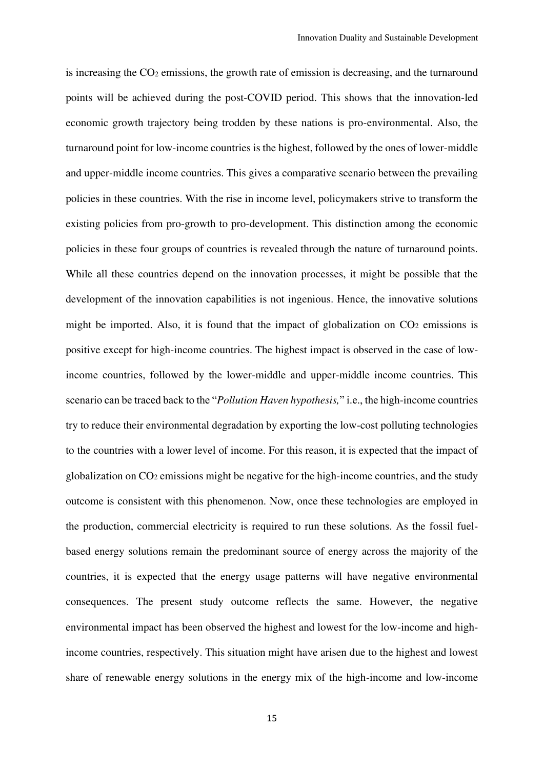is increasing the CO<sub>2</sub> emissions, the growth rate of emission is decreasing, and the turnaround points will be achieved during the post-COVID period. This shows that the innovation-led economic growth trajectory being trodden by these nations is pro-environmental. Also, the turnaround point for low-income countries is the highest, followed by the ones of lower-middle and upper-middle income countries. This gives a comparative scenario between the prevailing policies in these countries. With the rise in income level, policymakers strive to transform the existing policies from pro-growth to pro-development. This distinction among the economic policies in these four groups of countries is revealed through the nature of turnaround points. While all these countries depend on the innovation processes, it might be possible that the development of the innovation capabilities is not ingenious. Hence, the innovative solutions might be imported. Also, it is found that the impact of globalization on  $CO<sub>2</sub>$  emissions is positive except for high-income countries. The highest impact is observed in the case of lowincome countries, followed by the lower-middle and upper-middle income countries. This scenario can be traced back to the "*Pollution Haven hypothesis,*" i.e., the high-income countries try to reduce their environmental degradation by exporting the low-cost polluting technologies to the countries with a lower level of income. For this reason, it is expected that the impact of globalization on CO2 emissions might be negative for the high-income countries, and the study outcome is consistent with this phenomenon. Now, once these technologies are employed in the production, commercial electricity is required to run these solutions. As the fossil fuelbased energy solutions remain the predominant source of energy across the majority of the countries, it is expected that the energy usage patterns will have negative environmental consequences. The present study outcome reflects the same. However, the negative environmental impact has been observed the highest and lowest for the low-income and highincome countries, respectively. This situation might have arisen due to the highest and lowest share of renewable energy solutions in the energy mix of the high-income and low-income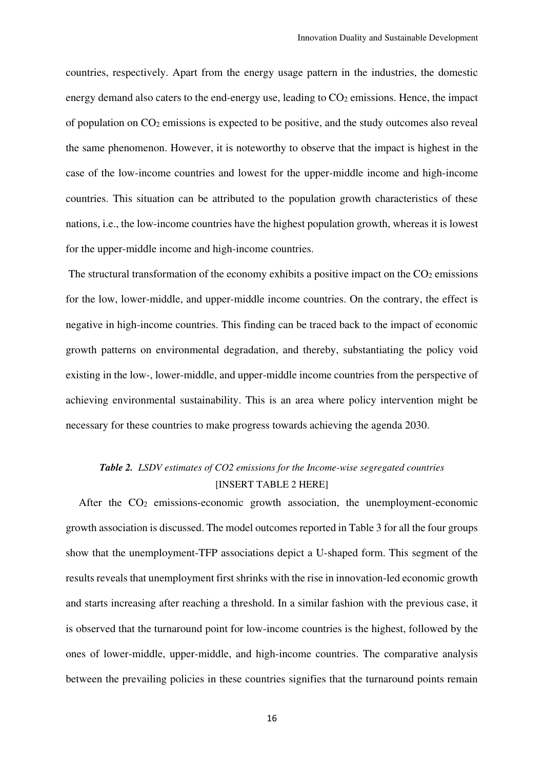countries, respectively. Apart from the energy usage pattern in the industries, the domestic energy demand also caters to the end-energy use, leading to  $CO<sub>2</sub>$  emissions. Hence, the impact of population on  $CO<sub>2</sub>$  emissions is expected to be positive, and the study outcomes also reveal the same phenomenon. However, it is noteworthy to observe that the impact is highest in the case of the low-income countries and lowest for the upper-middle income and high-income countries. This situation can be attributed to the population growth characteristics of these nations, i.e., the low-income countries have the highest population growth, whereas it is lowest for the upper-middle income and high-income countries.

The structural transformation of the economy exhibits a positive impact on the  $CO<sub>2</sub>$  emissions for the low, lower-middle, and upper-middle income countries. On the contrary, the effect is negative in high-income countries. This finding can be traced back to the impact of economic growth patterns on environmental degradation, and thereby, substantiating the policy void existing in the low-, lower-middle, and upper-middle income countries from the perspective of achieving environmental sustainability. This is an area where policy intervention might be necessary for these countries to make progress towards achieving the agenda 2030.

## *Table 2. LSDV estimates of CO2 emissions for the Income-wise segregated countries*  [INSERT TABLE 2 HERE]

After the  $CO<sub>2</sub>$  emissions-economic growth association, the unemployment-economic growth association is discussed. The model outcomes reported in Table 3 for all the four groups show that the unemployment-TFP associations depict a U-shaped form. This segment of the results reveals that unemployment first shrinks with the rise in innovation-led economic growth and starts increasing after reaching a threshold. In a similar fashion with the previous case, it is observed that the turnaround point for low-income countries is the highest, followed by the ones of lower-middle, upper-middle, and high-income countries. The comparative analysis between the prevailing policies in these countries signifies that the turnaround points remain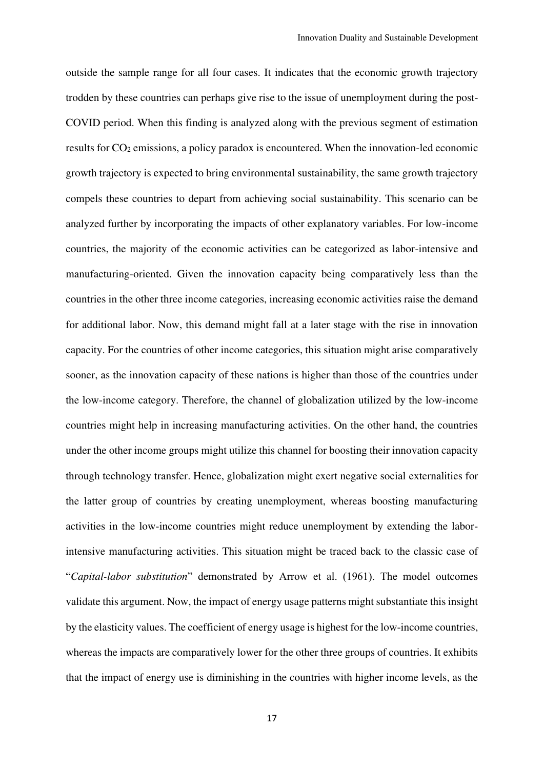outside the sample range for all four cases. It indicates that the economic growth trajectory trodden by these countries can perhaps give rise to the issue of unemployment during the post-COVID period. When this finding is analyzed along with the previous segment of estimation results for CO2 emissions, a policy paradox is encountered. When the innovation-led economic growth trajectory is expected to bring environmental sustainability, the same growth trajectory compels these countries to depart from achieving social sustainability. This scenario can be analyzed further by incorporating the impacts of other explanatory variables. For low-income countries, the majority of the economic activities can be categorized as labor-intensive and manufacturing-oriented. Given the innovation capacity being comparatively less than the countries in the other three income categories, increasing economic activities raise the demand for additional labor. Now, this demand might fall at a later stage with the rise in innovation capacity. For the countries of other income categories, this situation might arise comparatively sooner, as the innovation capacity of these nations is higher than those of the countries under the low-income category. Therefore, the channel of globalization utilized by the low-income countries might help in increasing manufacturing activities. On the other hand, the countries under the other income groups might utilize this channel for boosting their innovation capacity through technology transfer. Hence, globalization might exert negative social externalities for the latter group of countries by creating unemployment, whereas boosting manufacturing activities in the low-income countries might reduce unemployment by extending the laborintensive manufacturing activities. This situation might be traced back to the classic case of "*Capital-labor substitution*" demonstrated by Arrow et al. (1961). The model outcomes validate this argument. Now, the impact of energy usage patterns might substantiate this insight by the elasticity values. The coefficient of energy usage is highest for the low-income countries, whereas the impacts are comparatively lower for the other three groups of countries. It exhibits that the impact of energy use is diminishing in the countries with higher income levels, as the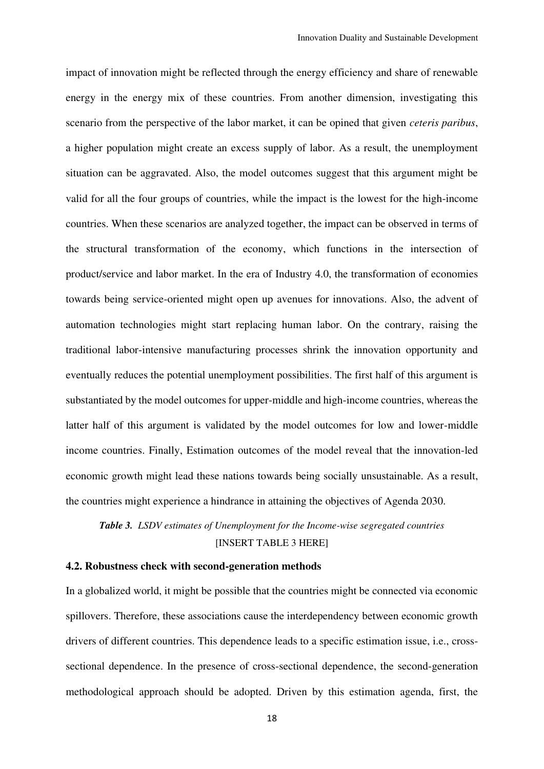impact of innovation might be reflected through the energy efficiency and share of renewable energy in the energy mix of these countries. From another dimension, investigating this scenario from the perspective of the labor market, it can be opined that given *ceteris paribus*, a higher population might create an excess supply of labor. As a result, the unemployment situation can be aggravated. Also, the model outcomes suggest that this argument might be valid for all the four groups of countries, while the impact is the lowest for the high-income countries. When these scenarios are analyzed together, the impact can be observed in terms of the structural transformation of the economy, which functions in the intersection of product/service and labor market. In the era of Industry 4.0, the transformation of economies towards being service-oriented might open up avenues for innovations. Also, the advent of automation technologies might start replacing human labor. On the contrary, raising the traditional labor-intensive manufacturing processes shrink the innovation opportunity and eventually reduces the potential unemployment possibilities. The first half of this argument is substantiated by the model outcomes for upper-middle and high-income countries, whereas the latter half of this argument is validated by the model outcomes for low and lower-middle income countries. Finally, Estimation outcomes of the model reveal that the innovation-led economic growth might lead these nations towards being socially unsustainable. As a result, the countries might experience a hindrance in attaining the objectives of Agenda 2030.

*Table 3. LSDV estimates of Unemployment for the Income-wise segregated countries*  [INSERT TABLE 3 HERE]

#### **4.2. Robustness check with second-generation methods**

In a globalized world, it might be possible that the countries might be connected via economic spillovers. Therefore, these associations cause the interdependency between economic growth drivers of different countries. This dependence leads to a specific estimation issue, i.e., crosssectional dependence. In the presence of cross-sectional dependence, the second-generation methodological approach should be adopted. Driven by this estimation agenda, first, the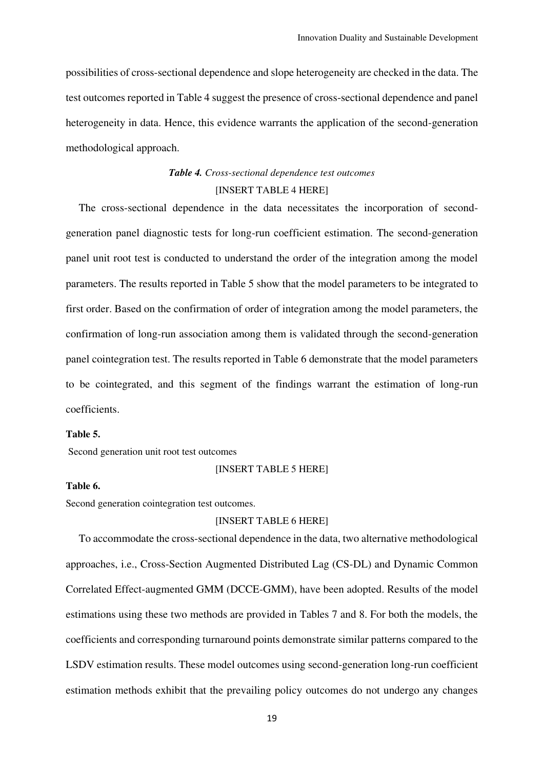possibilities of cross-sectional dependence and slope heterogeneity are checked in the data. The test outcomes reported in Table 4 suggest the presence of cross-sectional dependence and panel heterogeneity in data. Hence, this evidence warrants the application of the second-generation methodological approach.

## *Table 4. Cross-sectional dependence test outcomes*  [INSERT TABLE 4 HERE]

The cross-sectional dependence in the data necessitates the incorporation of secondgeneration panel diagnostic tests for long-run coefficient estimation. The second-generation panel unit root test is conducted to understand the order of the integration among the model parameters. The results reported in Table 5 show that the model parameters to be integrated to first order. Based on the confirmation of order of integration among the model parameters, the confirmation of long-run association among them is validated through the second-generation panel cointegration test. The results reported in Table 6 demonstrate that the model parameters to be cointegrated, and this segment of the findings warrant the estimation of long-run coefficients.

#### **Table 5.**

Second generation unit root test outcomes

#### [INSERT TABLE 5 HERE]

#### **Table 6.**

Second generation cointegration test outcomes.

#### [INSERT TABLE 6 HERE]

To accommodate the cross-sectional dependence in the data, two alternative methodological approaches, i.e., Cross-Section Augmented Distributed Lag (CS-DL) and Dynamic Common Correlated Effect-augmented GMM (DCCE-GMM), have been adopted. Results of the model estimations using these two methods are provided in Tables 7 and 8. For both the models, the coefficients and corresponding turnaround points demonstrate similar patterns compared to the LSDV estimation results. These model outcomes using second-generation long-run coefficient estimation methods exhibit that the prevailing policy outcomes do not undergo any changes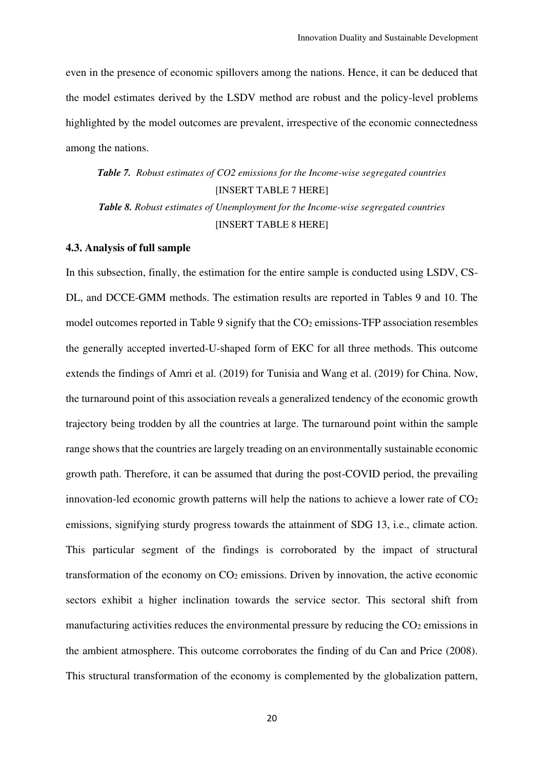even in the presence of economic spillovers among the nations. Hence, it can be deduced that the model estimates derived by the LSDV method are robust and the policy-level problems highlighted by the model outcomes are prevalent, irrespective of the economic connectedness among the nations.

*Table 7. Robust estimates of CO2 emissions for the Income-wise segregated countries*  [INSERT TABLE 7 HERE] *Table 8. Robust estimates of Unemployment for the Income-wise segregated countries*  [INSERT TABLE 8 HERE]

#### **4.3. Analysis of full sample**

In this subsection, finally, the estimation for the entire sample is conducted using LSDV, CS-DL, and DCCE-GMM methods. The estimation results are reported in Tables 9 and 10. The model outcomes reported in Table 9 signify that the CO<sub>2</sub> emissions-TFP association resembles the generally accepted inverted-U-shaped form of EKC for all three methods. This outcome extends the findings of Amri et al. (2019) for Tunisia and Wang et al. (2019) for China. Now, the turnaround point of this association reveals a generalized tendency of the economic growth trajectory being trodden by all the countries at large. The turnaround point within the sample range shows that the countries are largely treading on an environmentally sustainable economic growth path. Therefore, it can be assumed that during the post-COVID period, the prevailing innovation-led economic growth patterns will help the nations to achieve a lower rate of  $CO<sub>2</sub>$ emissions, signifying sturdy progress towards the attainment of SDG 13, i.e., climate action. This particular segment of the findings is corroborated by the impact of structural transformation of the economy on  $CO<sub>2</sub>$  emissions. Driven by innovation, the active economic sectors exhibit a higher inclination towards the service sector. This sectoral shift from manufacturing activities reduces the environmental pressure by reducing the  $CO<sub>2</sub>$  emissions in the ambient atmosphere. This outcome corroborates the finding of du Can and Price (2008). This structural transformation of the economy is complemented by the globalization pattern,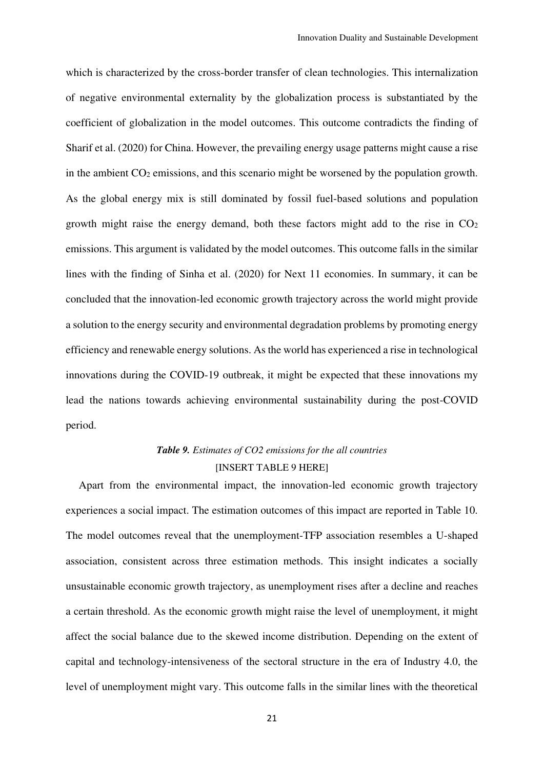which is characterized by the cross-border transfer of clean technologies. This internalization of negative environmental externality by the globalization process is substantiated by the coefficient of globalization in the model outcomes. This outcome contradicts the finding of Sharif et al. (2020) for China. However, the prevailing energy usage patterns might cause a rise in the ambient CO2 emissions, and this scenario might be worsened by the population growth. As the global energy mix is still dominated by fossil fuel-based solutions and population growth might raise the energy demand, both these factors might add to the rise in  $CO<sub>2</sub>$ emissions. This argument is validated by the model outcomes. This outcome falls in the similar lines with the finding of Sinha et al. (2020) for Next 11 economies. In summary, it can be concluded that the innovation-led economic growth trajectory across the world might provide a solution to the energy security and environmental degradation problems by promoting energy efficiency and renewable energy solutions. As the world has experienced a rise in technological innovations during the COVID-19 outbreak, it might be expected that these innovations my lead the nations towards achieving environmental sustainability during the post-COVID period.

## *Table 9. Estimates of CO2 emissions for the all countries*  [INSERT TABLE 9 HERE]

Apart from the environmental impact, the innovation-led economic growth trajectory experiences a social impact. The estimation outcomes of this impact are reported in Table 10. The model outcomes reveal that the unemployment-TFP association resembles a U-shaped association, consistent across three estimation methods. This insight indicates a socially unsustainable economic growth trajectory, as unemployment rises after a decline and reaches a certain threshold. As the economic growth might raise the level of unemployment, it might affect the social balance due to the skewed income distribution. Depending on the extent of capital and technology-intensiveness of the sectoral structure in the era of Industry 4.0, the level of unemployment might vary. This outcome falls in the similar lines with the theoretical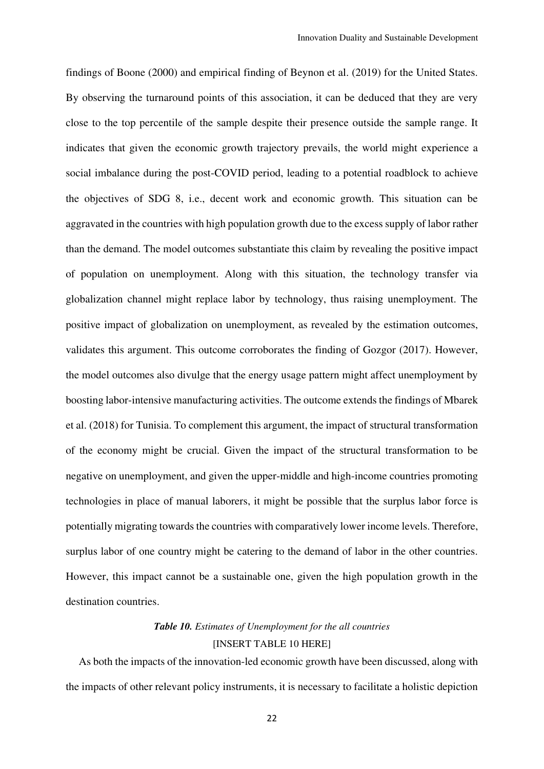findings of Boone (2000) and empirical finding of Beynon et al. (2019) for the United States. By observing the turnaround points of this association, it can be deduced that they are very close to the top percentile of the sample despite their presence outside the sample range. It indicates that given the economic growth trajectory prevails, the world might experience a social imbalance during the post-COVID period, leading to a potential roadblock to achieve the objectives of SDG 8, i.e., decent work and economic growth. This situation can be aggravated in the countries with high population growth due to the excess supply of labor rather than the demand. The model outcomes substantiate this claim by revealing the positive impact of population on unemployment. Along with this situation, the technology transfer via globalization channel might replace labor by technology, thus raising unemployment. The positive impact of globalization on unemployment, as revealed by the estimation outcomes, validates this argument. This outcome corroborates the finding of Gozgor (2017). However, the model outcomes also divulge that the energy usage pattern might affect unemployment by boosting labor-intensive manufacturing activities. The outcome extends the findings of Mbarek et al. (2018) for Tunisia. To complement this argument, the impact of structural transformation of the economy might be crucial. Given the impact of the structural transformation to be negative on unemployment, and given the upper-middle and high-income countries promoting technologies in place of manual laborers, it might be possible that the surplus labor force is potentially migrating towards the countries with comparatively lower income levels. Therefore, surplus labor of one country might be catering to the demand of labor in the other countries. However, this impact cannot be a sustainable one, given the high population growth in the destination countries.

## *Table 10. Estimates of Unemployment for the all countries*  [INSERT TABLE 10 HERE]

As both the impacts of the innovation-led economic growth have been discussed, along with the impacts of other relevant policy instruments, it is necessary to facilitate a holistic depiction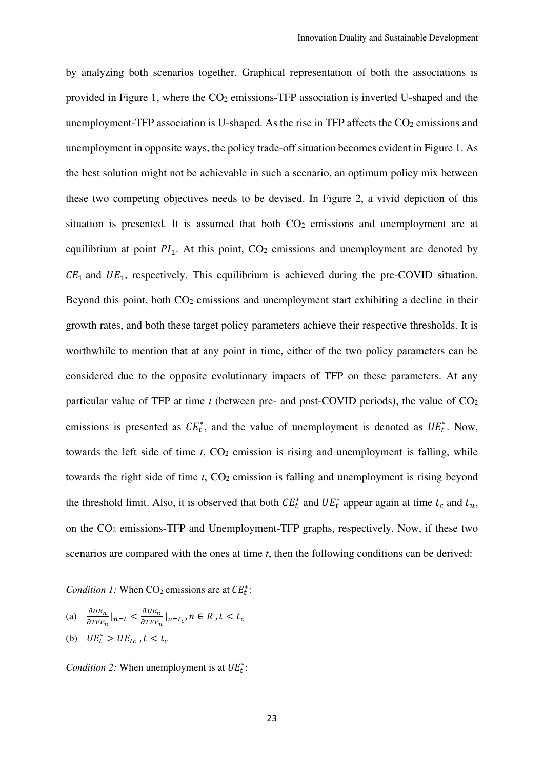by analyzing both scenarios together. Graphical representation of both the associations is provided in Figure 1, where the  $CO<sub>2</sub>$  emissions-TFP association is inverted U-shaped and the unemployment-TFP association is U-shaped. As the rise in TFP affects the  $CO<sub>2</sub>$  emissions and unemployment in opposite ways, the policy trade-off situation becomes evident in Figure 1. As the best solution might not be achievable in such a scenario, an optimum policy mix between these two competing objectives needs to be devised. In Figure 2, a vivid depiction of this situation is presented. It is assumed that both  $CO<sub>2</sub>$  emissions and unemployment are at equilibrium at point  $PI_1$ . At this point,  $CO_2$  emissions and unemployment are denoted by  $CE<sub>1</sub>$  and  $UE<sub>1</sub>$ , respectively. This equilibrium is achieved during the pre-COVID situation. Beyond this point, both CO<sub>2</sub> emissions and unemployment start exhibiting a decline in their growth rates, and both these target policy parameters achieve their respective thresholds. It is worthwhile to mention that at any point in time, either of the two policy parameters can be considered due to the opposite evolutionary impacts of TFP on these parameters. At any particular value of TFP at time *t* (between pre- and post-COVID periods), the value of CO<sup>2</sup> emissions is presented as  $CE_t^*$ , and the value of unemployment is denoted as  $UE_t^*$ . Now, towards the left side of time  $t$ ,  $CO<sub>2</sub>$  emission is rising and unemployment is falling, while towards the right side of time *t*, CO<sub>2</sub> emission is falling and unemployment is rising beyond the threshold limit. Also, it is observed that both  $CE_t^*$  and  $UE_t^*$  appear again at time  $t_c$  and  $t_u$ , on the CO2 emissions-TFP and Unemployment-TFP graphs, respectively. Now, if these two scenarios are compared with the ones at time *t*, then the following conditions can be derived:

*Condition 1:* When  $CO_2$  emissions are at  $CE_t^*$ :

- (a)  $\frac{\partial UE_n}{\partial TFP_x}$  $\frac{\partial UE_n}{\partial TFP_n} \big|_{n=t} < \frac{\partial UE_n}{\partial TFP_n}$  $\frac{\partial u_{n}}{\partial T F P_{n}}|_{n=t_{c}}$ ,  $n \in R$ ,  $t < t_{c}$
- (b)  $UE_t^* > UE_{tc}$ ,  $t < t_c$

*Condition 2:* When unemployment is at  $UE_t^*$ :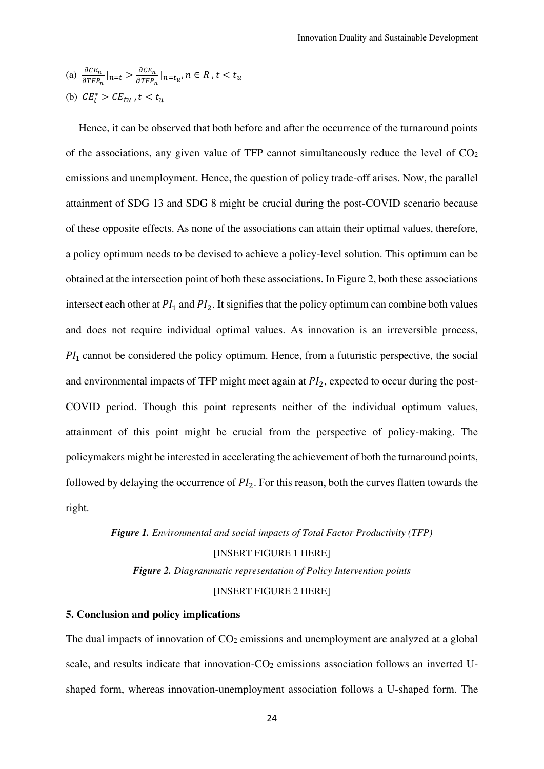(a) 
$$
\frac{\partial c E_n}{\partial \text{TFP}_n} \big|_{n=t} > \frac{\partial c E_n}{\partial \text{TFP}_n} \big|_{n=t_u}, n \in R, t < t_u
$$

(b) 
$$
CE_t^* > CE_{tu}
$$
,  $t < t_u$ 

Hence, it can be observed that both before and after the occurrence of the turnaround points of the associations, any given value of TFP cannot simultaneously reduce the level of  $CO<sub>2</sub>$ emissions and unemployment. Hence, the question of policy trade-off arises. Now, the parallel attainment of SDG 13 and SDG 8 might be crucial during the post-COVID scenario because of these opposite effects. As none of the associations can attain their optimal values, therefore, a policy optimum needs to be devised to achieve a policy-level solution. This optimum can be obtained at the intersection point of both these associations. In Figure 2, both these associations intersect each other at  $PI_1$  and  $PI_2$ . It signifies that the policy optimum can combine both values and does not require individual optimal values. As innovation is an irreversible process,  $PI_1$  cannot be considered the policy optimum. Hence, from a futuristic perspective, the social and environmental impacts of TFP might meet again at  $PI_2$ , expected to occur during the post-COVID period. Though this point represents neither of the individual optimum values, attainment of this point might be crucial from the perspective of policy-making. The policymakers might be interested in accelerating the achievement of both the turnaround points, followed by delaying the occurrence of  $PI_2$ . For this reason, both the curves flatten towards the right.

#### *Figure 1. Environmental and social impacts of Total Factor Productivity (TFP)*

[INSERT FIGURE 1 HERE]

*Figure 2. Diagrammatic representation of Policy Intervention points*

#### [INSERT FIGURE 2 HERE]

### **5. Conclusion and policy implications**

The dual impacts of innovation of  $CO<sub>2</sub>$  emissions and unemployment are analyzed at a global scale, and results indicate that innovation-CO<sub>2</sub> emissions association follows an inverted Ushaped form, whereas innovation-unemployment association follows a U-shaped form. The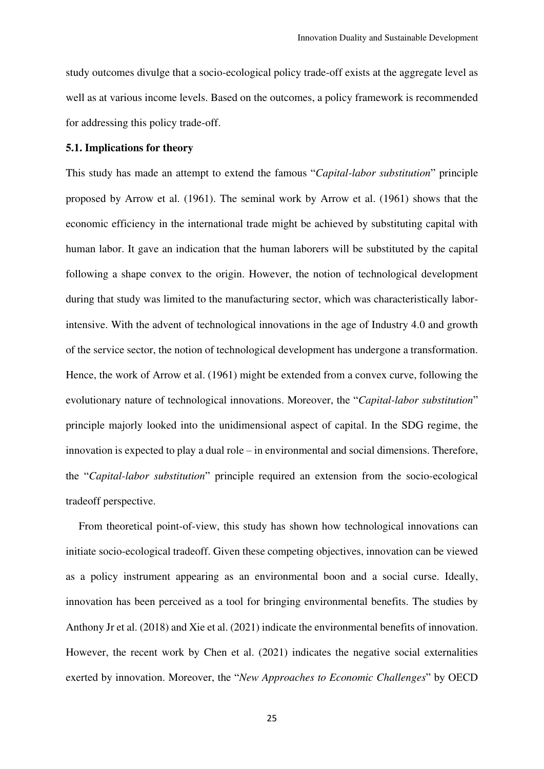study outcomes divulge that a socio-ecological policy trade-off exists at the aggregate level as well as at various income levels. Based on the outcomes, a policy framework is recommended for addressing this policy trade-off.

#### **5.1. Implications for theory**

This study has made an attempt to extend the famous "*Capital-labor substitution*" principle proposed by Arrow et al. (1961). The seminal work by Arrow et al. (1961) shows that the economic efficiency in the international trade might be achieved by substituting capital with human labor. It gave an indication that the human laborers will be substituted by the capital following a shape convex to the origin. However, the notion of technological development during that study was limited to the manufacturing sector, which was characteristically laborintensive. With the advent of technological innovations in the age of Industry 4.0 and growth of the service sector, the notion of technological development has undergone a transformation. Hence, the work of Arrow et al. (1961) might be extended from a convex curve, following the evolutionary nature of technological innovations. Moreover, the "*Capital-labor substitution*" principle majorly looked into the unidimensional aspect of capital. In the SDG regime, the innovation is expected to play a dual role – in environmental and social dimensions. Therefore, the "*Capital-labor substitution*" principle required an extension from the socio-ecological tradeoff perspective.

From theoretical point-of-view, this study has shown how technological innovations can initiate socio-ecological tradeoff. Given these competing objectives, innovation can be viewed as a policy instrument appearing as an environmental boon and a social curse. Ideally, innovation has been perceived as a tool for bringing environmental benefits. The studies by Anthony Jr et al. (2018) and Xie et al. (2021) indicate the environmental benefits of innovation. However, the recent work by Chen et al. (2021) indicates the negative social externalities exerted by innovation. Moreover, the "*New Approaches to Economic Challenges*" by OECD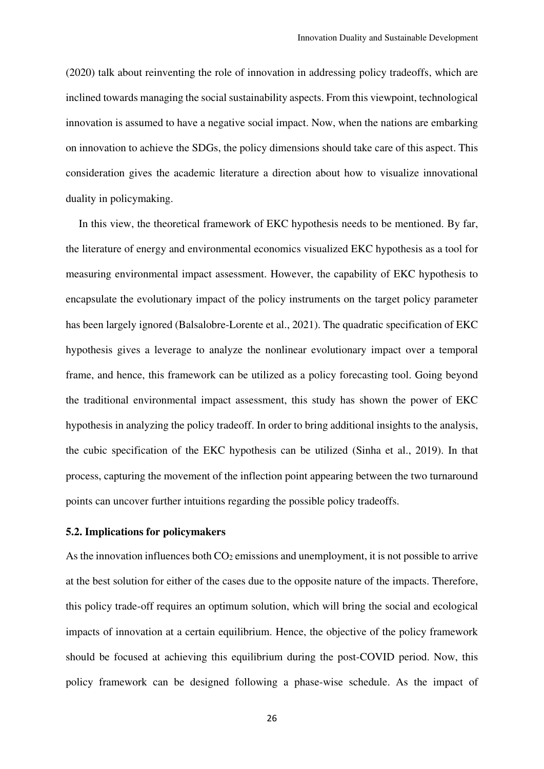(2020) talk about reinventing the role of innovation in addressing policy tradeoffs, which are inclined towards managing the social sustainability aspects. From this viewpoint, technological innovation is assumed to have a negative social impact. Now, when the nations are embarking on innovation to achieve the SDGs, the policy dimensions should take care of this aspect. This consideration gives the academic literature a direction about how to visualize innovational duality in policymaking.

In this view, the theoretical framework of EKC hypothesis needs to be mentioned. By far, the literature of energy and environmental economics visualized EKC hypothesis as a tool for measuring environmental impact assessment. However, the capability of EKC hypothesis to encapsulate the evolutionary impact of the policy instruments on the target policy parameter has been largely ignored (Balsalobre-Lorente et al., 2021). The quadratic specification of EKC hypothesis gives a leverage to analyze the nonlinear evolutionary impact over a temporal frame, and hence, this framework can be utilized as a policy forecasting tool. Going beyond the traditional environmental impact assessment, this study has shown the power of EKC hypothesis in analyzing the policy tradeoff. In order to bring additional insights to the analysis, the cubic specification of the EKC hypothesis can be utilized (Sinha et al., 2019). In that process, capturing the movement of the inflection point appearing between the two turnaround points can uncover further intuitions regarding the possible policy tradeoffs.

#### **5.2. Implications for policymakers**

As the innovation influences both  $CO<sub>2</sub>$  emissions and unemployment, it is not possible to arrive at the best solution for either of the cases due to the opposite nature of the impacts. Therefore, this policy trade-off requires an optimum solution, which will bring the social and ecological impacts of innovation at a certain equilibrium. Hence, the objective of the policy framework should be focused at achieving this equilibrium during the post-COVID period. Now, this policy framework can be designed following a phase-wise schedule. As the impact of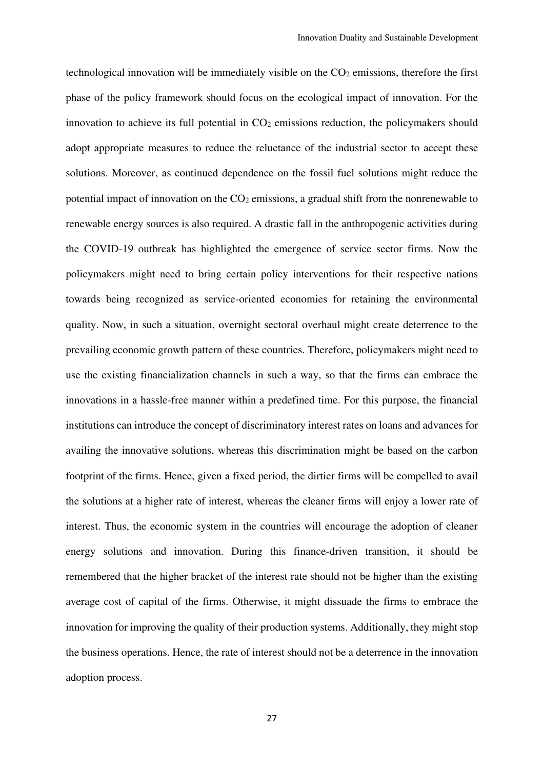technological innovation will be immediately visible on the CO<sub>2</sub> emissions, therefore the first phase of the policy framework should focus on the ecological impact of innovation. For the innovation to achieve its full potential in  $CO<sub>2</sub>$  emissions reduction, the policymakers should adopt appropriate measures to reduce the reluctance of the industrial sector to accept these solutions. Moreover, as continued dependence on the fossil fuel solutions might reduce the potential impact of innovation on the  $CO<sub>2</sub>$  emissions, a gradual shift from the nonrenewable to renewable energy sources is also required. A drastic fall in the anthropogenic activities during the COVID-19 outbreak has highlighted the emergence of service sector firms. Now the policymakers might need to bring certain policy interventions for their respective nations towards being recognized as service-oriented economies for retaining the environmental quality. Now, in such a situation, overnight sectoral overhaul might create deterrence to the prevailing economic growth pattern of these countries. Therefore, policymakers might need to use the existing financialization channels in such a way, so that the firms can embrace the innovations in a hassle-free manner within a predefined time. For this purpose, the financial institutions can introduce the concept of discriminatory interest rates on loans and advances for availing the innovative solutions, whereas this discrimination might be based on the carbon footprint of the firms. Hence, given a fixed period, the dirtier firms will be compelled to avail the solutions at a higher rate of interest, whereas the cleaner firms will enjoy a lower rate of interest. Thus, the economic system in the countries will encourage the adoption of cleaner energy solutions and innovation. During this finance-driven transition, it should be remembered that the higher bracket of the interest rate should not be higher than the existing average cost of capital of the firms. Otherwise, it might dissuade the firms to embrace the innovation for improving the quality of their production systems. Additionally, they might stop the business operations. Hence, the rate of interest should not be a deterrence in the innovation adoption process.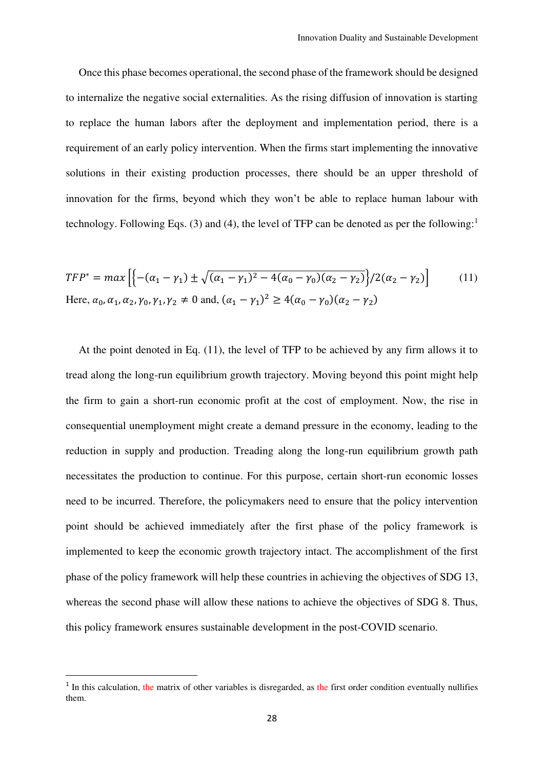Once this phase becomes operational, the second phase of the framework should be designed to internalize the negative social externalities. As the rising diffusion of innovation is starting to replace the human labors after the deployment and implementation period, there is a requirement of an early policy intervention. When the firms start implementing the innovative solutions in their existing production processes, there should be an upper threshold of innovation for the firms, beyond which they won't be able to replace human labour with technology. Following Eqs. (3) and (4), the level of TFP can be denoted as per the following:<sup>1</sup>

$$
TFP^* = max \left[ \left\{ -( \alpha_1 - \gamma_1) \pm \sqrt{(\alpha_1 - \gamma_1)^2 - 4(\alpha_0 - \gamma_0)(\alpha_2 - \gamma_2)} \right\} / 2(\alpha_2 - \gamma_2) \right] \tag{11}
$$
  
Here,  $\alpha_0, \alpha_1, \alpha_2, \gamma_0, \gamma_1, \gamma_2 \neq 0$  and,  $(\alpha_1 - \gamma_1)^2 \ge 4(\alpha_0 - \gamma_0)(\alpha_2 - \gamma_2)$ 

At the point denoted in Eq. (11), the level of TFP to be achieved by any firm allows it to tread along the long-run equilibrium growth trajectory. Moving beyond this point might help the firm to gain a short-run economic profit at the cost of employment. Now, the rise in consequential unemployment might create a demand pressure in the economy, leading to the reduction in supply and production. Treading along the long-run equilibrium growth path necessitates the production to continue. For this purpose, certain short-run economic losses need to be incurred. Therefore, the policymakers need to ensure that the policy intervention point should be achieved immediately after the first phase of the policy framework is implemented to keep the economic growth trajectory intact. The accomplishment of the first phase of the policy framework will help these countries in achieving the objectives of SDG 13, whereas the second phase will allow these nations to achieve the objectives of SDG 8. Thus, this policy framework ensures sustainable development in the post-COVID scenario.

<sup>&</sup>lt;sup>1</sup> In this calculation, the matrix of other variables is disregarded, as the first order condition eventually nullifies them.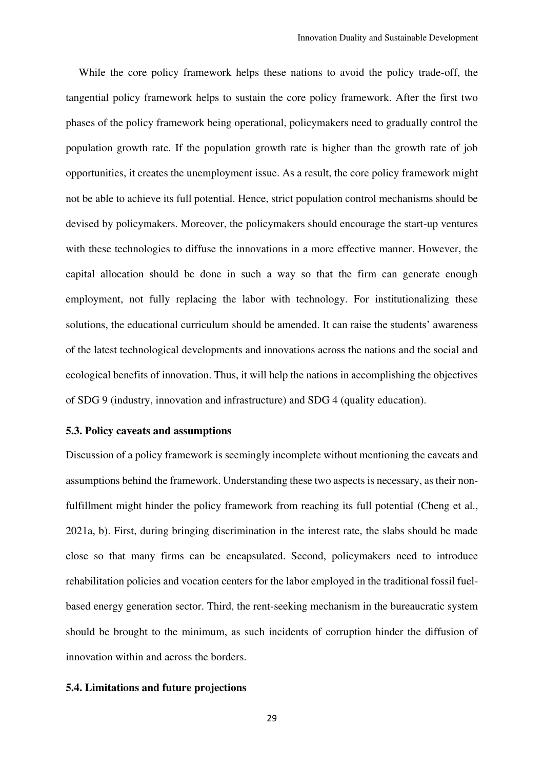While the core policy framework helps these nations to avoid the policy trade-off, the tangential policy framework helps to sustain the core policy framework. After the first two phases of the policy framework being operational, policymakers need to gradually control the population growth rate. If the population growth rate is higher than the growth rate of job opportunities, it creates the unemployment issue. As a result, the core policy framework might not be able to achieve its full potential. Hence, strict population control mechanisms should be devised by policymakers. Moreover, the policymakers should encourage the start-up ventures with these technologies to diffuse the innovations in a more effective manner. However, the capital allocation should be done in such a way so that the firm can generate enough employment, not fully replacing the labor with technology. For institutionalizing these solutions, the educational curriculum should be amended. It can raise the students' awareness of the latest technological developments and innovations across the nations and the social and ecological benefits of innovation. Thus, it will help the nations in accomplishing the objectives of SDG 9 (industry, innovation and infrastructure) and SDG 4 (quality education).

#### **5.3. Policy caveats and assumptions**

Discussion of a policy framework is seemingly incomplete without mentioning the caveats and assumptions behind the framework. Understanding these two aspects is necessary, as their nonfulfillment might hinder the policy framework from reaching its full potential (Cheng et al., 2021a, b). First, during bringing discrimination in the interest rate, the slabs should be made close so that many firms can be encapsulated. Second, policymakers need to introduce rehabilitation policies and vocation centers for the labor employed in the traditional fossil fuelbased energy generation sector. Third, the rent-seeking mechanism in the bureaucratic system should be brought to the minimum, as such incidents of corruption hinder the diffusion of innovation within and across the borders.

#### **5.4. Limitations and future projections**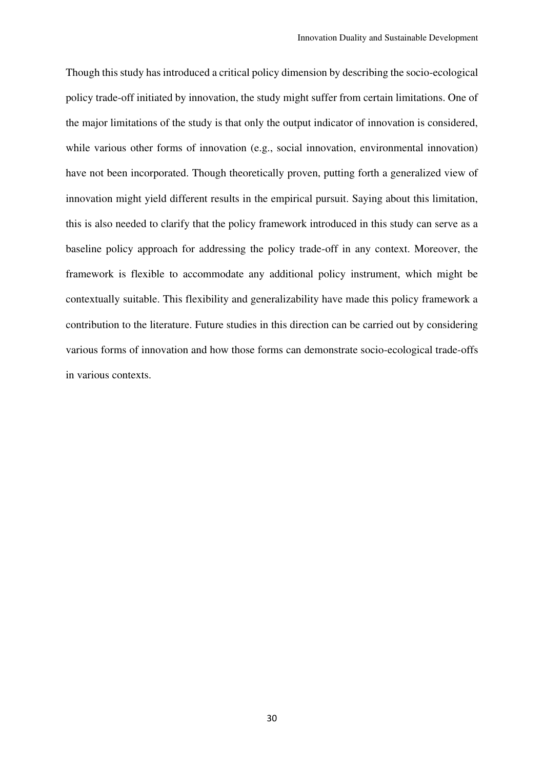Though this study has introduced a critical policy dimension by describing the socio-ecological policy trade-off initiated by innovation, the study might suffer from certain limitations. One of the major limitations of the study is that only the output indicator of innovation is considered, while various other forms of innovation (e.g., social innovation, environmental innovation) have not been incorporated. Though theoretically proven, putting forth a generalized view of innovation might yield different results in the empirical pursuit. Saying about this limitation, this is also needed to clarify that the policy framework introduced in this study can serve as a baseline policy approach for addressing the policy trade-off in any context. Moreover, the framework is flexible to accommodate any additional policy instrument, which might be contextually suitable. This flexibility and generalizability have made this policy framework a contribution to the literature. Future studies in this direction can be carried out by considering various forms of innovation and how those forms can demonstrate socio-ecological trade-offs in various contexts.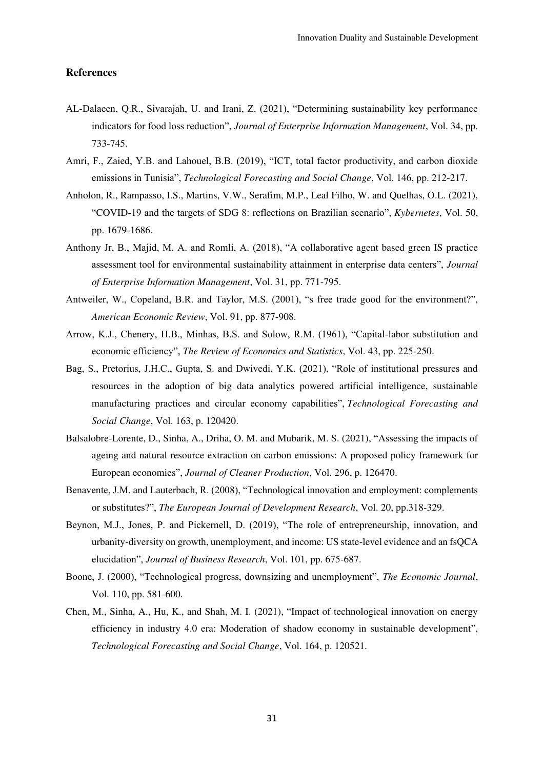#### **References**

- AL-Dalaeen, Q.R., Sivarajah, U. and Irani, Z. (2021), "Determining sustainability key performance indicators for food loss reduction", *Journal of Enterprise Information Management*, Vol. 34, pp. 733-745.
- Amri, F., Zaied, Y.B. and Lahouel, B.B. (2019), "ICT, total factor productivity, and carbon dioxide emissions in Tunisia", *Technological Forecasting and Social Change*, Vol. 146, pp. 212-217.
- Anholon, R., Rampasso, I.S., Martins, V.W., Serafim, M.P., Leal Filho, W. and Quelhas, O.L. (2021), "COVID-19 and the targets of SDG 8: reflections on Brazilian scenario", *Kybernetes*, Vol. 50, pp. 1679-1686.
- Anthony Jr, B., Majid, M. A. and Romli, A. (2018), "A collaborative agent based green IS practice assessment tool for environmental sustainability attainment in enterprise data centers", *Journal of Enterprise Information Management*, Vol. 31, pp. 771-795.
- Antweiler, W., Copeland, B.R. and Taylor, M.S. (2001), "s free trade good for the environment?", *American Economic Review*, Vol. 91, pp. 877-908.
- Arrow, K.J., Chenery, H.B., Minhas, B.S. and Solow, R.M. (1961), "Capital-labor substitution and economic efficiency", *The Review of Economics and Statistics*, Vol. 43, pp. 225-250.
- Bag, S., Pretorius, J.H.C., Gupta, S. and Dwivedi, Y.K. (2021), "Role of institutional pressures and resources in the adoption of big data analytics powered artificial intelligence, sustainable manufacturing practices and circular economy capabilities", *Technological Forecasting and Social Change*, Vol. 163, p. 120420.
- Balsalobre-Lorente, D., Sinha, A., Driha, O. M. and Mubarik, M. S. (2021), "Assessing the impacts of ageing and natural resource extraction on carbon emissions: A proposed policy framework for European economies", *Journal of Cleaner Production*, Vol. 296, p. 126470.
- Benavente, J.M. and Lauterbach, R. (2008), "Technological innovation and employment: complements or substitutes?", *The European Journal of Development Research*, Vol. 20, pp.318-329.
- Beynon, M.J., Jones, P. and Pickernell, D. (2019), "The role of entrepreneurship, innovation, and urbanity-diversity on growth, unemployment, and income: US state-level evidence and an fsQCA elucidation", *Journal of Business Research*, Vol. 101, pp. 675-687.
- Boone, J. (2000), "Technological progress, downsizing and unemployment", *The Economic Journal*, Vol. 110, pp. 581-600.
- Chen, M., Sinha, A., Hu, K., and Shah, M. I. (2021), "Impact of technological innovation on energy efficiency in industry 4.0 era: Moderation of shadow economy in sustainable development", *Technological Forecasting and Social Change*, Vol. 164, p. 120521.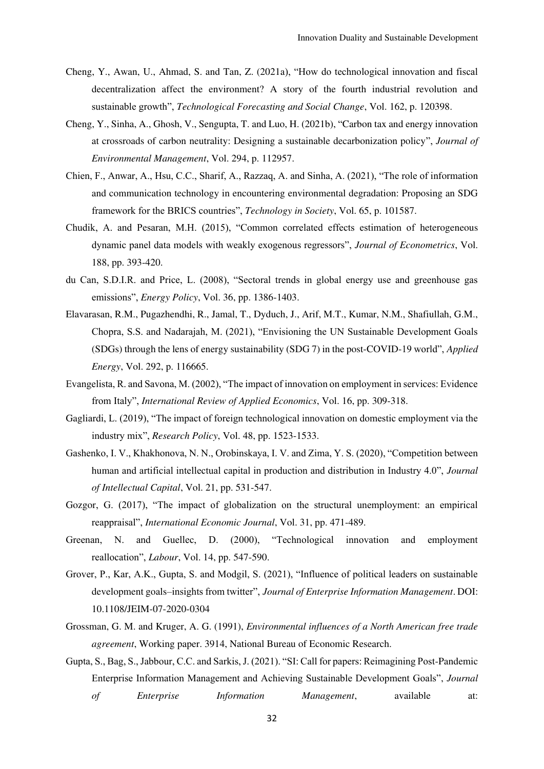- Cheng, Y., Awan, U., Ahmad, S. and Tan, Z. (2021a), "How do technological innovation and fiscal decentralization affect the environment? A story of the fourth industrial revolution and sustainable growth", *Technological Forecasting and Social Change*, Vol. 162, p. 120398.
- Cheng, Y., Sinha, A., Ghosh, V., Sengupta, T. and Luo, H. (2021b), "Carbon tax and energy innovation at crossroads of carbon neutrality: Designing a sustainable decarbonization policy", *Journal of Environmental Management*, Vol. 294, p. 112957.
- Chien, F., Anwar, A., Hsu, C.C., Sharif, A., Razzaq, A. and Sinha, A. (2021), "The role of information and communication technology in encountering environmental degradation: Proposing an SDG framework for the BRICS countries", *Technology in Society*, Vol. 65, p. 101587.
- Chudik, A. and Pesaran, M.H. (2015), "Common correlated effects estimation of heterogeneous dynamic panel data models with weakly exogenous regressors", *Journal of Econometrics*, Vol. 188, pp. 393-420.
- du Can, S.D.I.R. and Price, L. (2008), "Sectoral trends in global energy use and greenhouse gas emissions", *Energy Policy*, Vol. 36, pp. 1386-1403.
- Elavarasan, R.M., Pugazhendhi, R., Jamal, T., Dyduch, J., Arif, M.T., Kumar, N.M., Shafiullah, G.M., Chopra, S.S. and Nadarajah, M. (2021), "Envisioning the UN Sustainable Development Goals (SDGs) through the lens of energy sustainability (SDG 7) in the post-COVID-19 world", *Applied Energy*, Vol. 292, p. 116665.
- Evangelista, R. and Savona, M. (2002), "The impact of innovation on employment in services: Evidence from Italy", *International Review of Applied Economics*, Vol. 16, pp. 309-318.
- Gagliardi, L. (2019), "The impact of foreign technological innovation on domestic employment via the industry mix", *Research Policy*, Vol. 48, pp. 1523-1533.
- Gashenko, I. V., Khakhonova, N. N., Orobinskaya, I. V. and Zima, Y. S. (2020), "Competition between human and artificial intellectual capital in production and distribution in Industry 4.0", *Journal of Intellectual Capital*, Vol. 21, pp. 531-547.
- Gozgor, G. (2017), "The impact of globalization on the structural unemployment: an empirical reappraisal", *International Economic Journal*, Vol. 31, pp. 471-489.
- Greenan, N. and Guellec, D. (2000), "Technological innovation and employment reallocation", *Labour*, Vol. 14, pp. 547-590.
- Grover, P., Kar, A.K., Gupta, S. and Modgil, S. (2021), "Influence of political leaders on sustainable development goals–insights from twitter", *Journal of Enterprise Information Management*. DOI: 10.1108/JEIM-07-2020-0304
- Grossman, G. M. and Kruger, A. G. (1991), *Environmental influences of a North American free trade agreement*, Working paper. 3914, National Bureau of Economic Research.
- Gupta, S., Bag, S., Jabbour, C.C. and Sarkis, J. (2021). "SI: Call for papers: Reimagining Post-Pandemic Enterprise Information Management and Achieving Sustainable Development Goals", *Journal of Enterprise Information Management*, available at: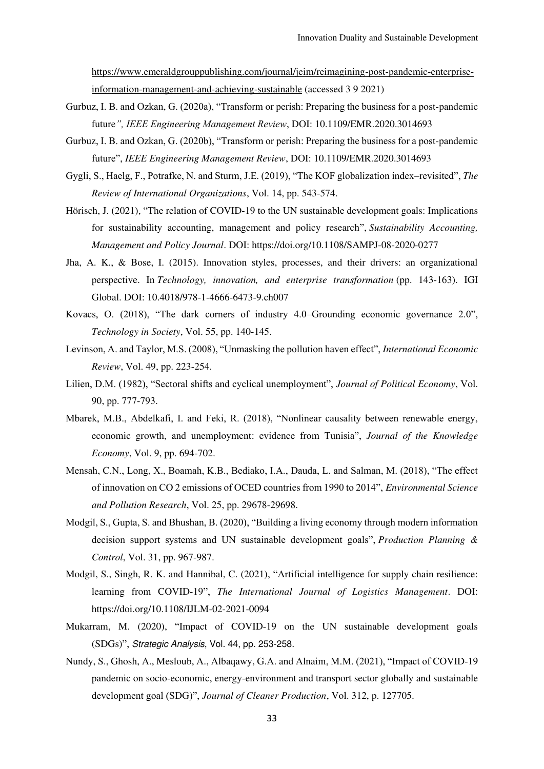[https://www.emeraldgrouppublishing.com/journal/jeim/reimagining-post-pandemic-enterprise](https://www.emeraldgrouppublishing.com/journal/jeim/reimagining-post-pandemic-enterprise-information-management-and-achieving-sustainable)[information-management-and-achieving-sustainable](https://www.emeraldgrouppublishing.com/journal/jeim/reimagining-post-pandemic-enterprise-information-management-and-achieving-sustainable) (accessed 3 9 2021)

- Gurbuz, I. B. and Ozkan, G. (2020a), "Transform or perish: Preparing the business for a post-pandemic future*", IEEE Engineering Management Review*, DOI: 10.1109/EMR.2020.3014693
- Gurbuz, I. B. and Ozkan, G. (2020b), "Transform or perish: Preparing the business for a post-pandemic future", *IEEE Engineering Management Review*, DOI: 10.1109/EMR.2020.3014693
- Gygli, S., Haelg, F., Potrafke, N. and Sturm, J.E. (2019), "The KOF globalization index–revisited", *The Review of International Organizations*, Vol. 14, pp. 543-574.
- Hörisch, J. (2021), "The relation of COVID-19 to the UN sustainable development goals: Implications for sustainability accounting, management and policy research", *Sustainability Accounting, Management and Policy Journal*. DOI: https://doi.org/10.1108/SAMPJ-08-2020-0277
- Jha, A. K., & Bose, I. (2015). Innovation styles, processes, and their drivers: an organizational perspective. In *Technology, innovation, and enterprise transformation* (pp. 143-163). IGI Global. DOI: 10.4018/978-1-4666-6473-9.ch007
- Kovacs, O. (2018), "The dark corners of industry 4.0–Grounding economic governance 2.0", *Technology in Society*, Vol. 55, pp. 140-145.
- Levinson, A. and Taylor, M.S. (2008), "Unmasking the pollution haven effect", *International Economic Review*, Vol. 49, pp. 223-254.
- Lilien, D.M. (1982), "Sectoral shifts and cyclical unemployment", *Journal of Political Economy*, Vol. 90, pp. 777-793.
- Mbarek, M.B., Abdelkafi, I. and Feki, R. (2018), "Nonlinear causality between renewable energy, economic growth, and unemployment: evidence from Tunisia", *Journal of the Knowledge Economy*, Vol. 9, pp. 694-702.
- Mensah, C.N., Long, X., Boamah, K.B., Bediako, I.A., Dauda, L. and Salman, M. (2018), "The effect of innovation on CO 2 emissions of OCED countries from 1990 to 2014", *Environmental Science and Pollution Research*, Vol. 25, pp. 29678-29698.
- Modgil, S., Gupta, S. and Bhushan, B. (2020), "Building a living economy through modern information decision support systems and UN sustainable development goals", *Production Planning & Control*, Vol. 31, pp. 967-987.
- Modgil, S., Singh, R. K. and Hannibal, C. (2021), "Artificial intelligence for supply chain resilience: learning from COVID-19", *The International Journal of Logistics Management*. DOI: https://doi.org/10.1108/IJLM-02-2021-0094
- Mukarram, M. (2020), "Impact of COVID-19 on the UN sustainable development goals (SDGs)", Strategic Analysis, Vol. 44, pp. 253-258.
- Nundy, S., Ghosh, A., Mesloub, A., Albaqawy, G.A. and Alnaim, M.M. (2021), "Impact of COVID-19 pandemic on socio-economic, energy-environment and transport sector globally and sustainable development goal (SDG)", *Journal of Cleaner Production*, Vol. 312, p. 127705.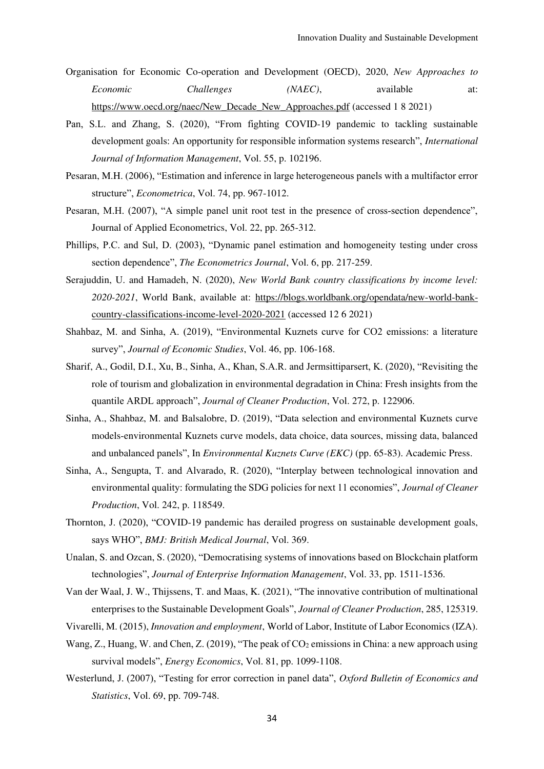- Organisation for Economic Co-operation and Development (OECD), 2020, *New Approaches to Economic* Challenges (NAEC), available at: [https://www.oecd.org/naec/New\\_Decade\\_New\\_Approaches.pdf](https://www.oecd.org/naec/New_Decade_New_Approaches.pdf) (accessed 1 8 2021)
- Pan, S.L. and Zhang, S. (2020), "From fighting COVID-19 pandemic to tackling sustainable development goals: An opportunity for responsible information systems research", *International Journal of Information Management*, Vol. 55, p. 102196.
- Pesaran, M.H. (2006), "Estimation and inference in large heterogeneous panels with a multifactor error structure", *Econometrica*, Vol. 74, pp. 967-1012.
- Pesaran, M.H. (2007), "A simple panel unit root test in the presence of cross-section dependence", Journal of Applied Econometrics, Vol. 22, pp. 265-312.
- Phillips, P.C. and Sul, D. (2003), "Dynamic panel estimation and homogeneity testing under cross section dependence", *The Econometrics Journal*, Vol. 6, pp. 217-259.
- Serajuddin, U. and Hamadeh, N. (2020), *New World Bank country classifications by income level: 2020-2021*, World Bank, available at: [https://blogs.worldbank.org/opendata/new-world-bank](https://blogs.worldbank.org/opendata/new-world-bank-country-classifications-income-level-2020-2021)[country-classifications-income-level-2020-2021](https://blogs.worldbank.org/opendata/new-world-bank-country-classifications-income-level-2020-2021) (accessed 12 6 2021)
- Shahbaz, M. and Sinha, A. (2019), "Environmental Kuznets curve for CO2 emissions: a literature survey", *Journal of Economic Studies*, Vol. 46, pp. 106-168.
- Sharif, A., Godil, D.I., Xu, B., Sinha, A., Khan, S.A.R. and Jermsittiparsert, K. (2020), "Revisiting the role of tourism and globalization in environmental degradation in China: Fresh insights from the quantile ARDL approach", *Journal of Cleaner Production*, Vol. 272, p. 122906.
- Sinha, A., Shahbaz, M. and Balsalobre, D. (2019), "Data selection and environmental Kuznets curve models-environmental Kuznets curve models, data choice, data sources, missing data, balanced and unbalanced panels", In *Environmental Kuznets Curve (EKC)* (pp. 65-83). Academic Press.
- Sinha, A., Sengupta, T. and Alvarado, R. (2020), "Interplay between technological innovation and environmental quality: formulating the SDG policies for next 11 economies", *Journal of Cleaner Production*, Vol. 242, p. 118549.
- Thornton, J. (2020), "COVID-19 pandemic has derailed progress on sustainable development goals, says WHO", *BMJ: British Medical Journal*, Vol. 369.
- Unalan, S. and Ozcan, S. (2020), "Democratising systems of innovations based on Blockchain platform technologies", *Journal of Enterprise Information Management*, Vol. 33, pp. 1511-1536.
- Van der Waal, J. W., Thijssens, T. and Maas, K. (2021), "The innovative contribution of multinational enterprises to the Sustainable Development Goals", *Journal of Cleaner Production*, 285, 125319.
- Vivarelli, M. (2015), *Innovation and employment*, World of Labor, Institute of Labor Economics (IZA).
- Wang, Z., Huang, W. and Chen, Z. (2019), "The peak of  $CO_2$  emissions in China: a new approach using survival models", *Energy Economics*, Vol. 81, pp. 1099-1108.
- Westerlund, J. (2007), "Testing for error correction in panel data", *Oxford Bulletin of Economics and Statistics*, Vol. 69, pp. 709-748.